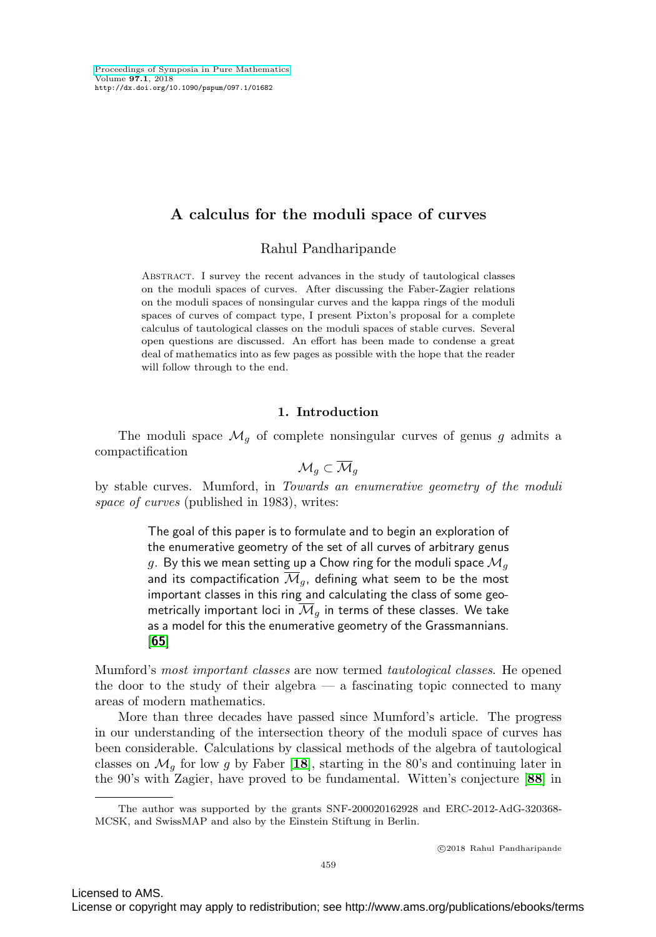# **A calculus for the moduli space of curves**

Rahul Pandharipande

Abstract. I survey the recent advances in the study of tautological classes on the moduli spaces of curves. After discussing the Faber-Zagier relations on the moduli spaces of nonsingular curves and the kappa rings of the moduli spaces of curves of compact type, I present Pixton's proposal for a complete calculus of tautological classes on the moduli spaces of stable curves. Several open questions are discussed. An effort has been made to condense a great deal of mathematics into as few pages as possible with the hope that the reader will follow through to the end.

## **1. Introduction**

The moduli space  $\mathcal{M}_g$  of complete nonsingular curves of genus g admits a compactification

$$
\mathcal{M}_g \subset \overline{\mathcal{M}}_g
$$

by stable curves. Mumford, in Towards an enumerative geometry of the moduli space of curves (published in 1983), writes:

> The goal of this paper is to formulate and to begin an exploration of the enumerative geometry of the set of all curves of arbitrary genus g. By this we mean setting up a Chow ring for the moduli space  $\mathcal{M}_q$ and its compactification  $\overline{\mathcal{M}}_q$ , defining what seem to be the most important classes in this ring and calculating the class of some geometrically important loci in  $\overline{\mathcal{M}}_q$  in terms of these classes. We take as a model for this the enumerative geometry of the Grassmannians. [**[65](#page-27-0)**]

Mumford's most important classes are now termed tautological classes. He opened the door to the study of their algebra  $-$  a fascinating topic connected to many areas of modern mathematics.

More than three decades have passed since Mumford's article. The progress in our understanding of the intersection theory of the moduli space of curves has been considerable. Calculations by classical methods of the algebra of tautological classes on  $\mathcal{M}_q$  for low g by Faber [[18](#page-26-0)], starting in the 80's and continuing later in the 90's with Zagier, have proved to be fundamental. Witten's conjecture [**[88](#page-28-0)**] in

The author was supported by the grants SNF-200020162928 and ERC-2012-AdG-320368- MCSK, and SwissMAP and also by the Einstein Stiftung in Berlin.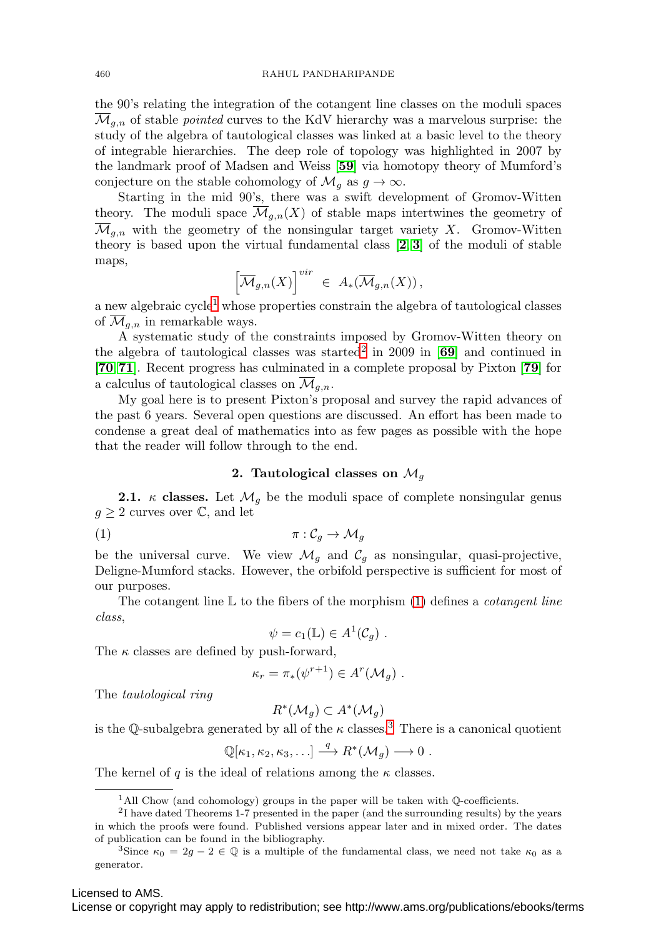460 RAHUL PANDHARIPANDE

the 90's relating the integration of the cotangent line classes on the moduli spaces  $\overline{\mathcal{M}}_{q,n}$  of stable *pointed* curves to the KdV hierarchy was a marvelous surprise: the study of the algebra of tautological classes was linked at a basic level to the theory of integrable hierarchies. The deep role of topology was highlighted in 2007 by the landmark proof of Madsen and Weiss [**[59](#page-27-1)**] via homotopy theory of Mumford's conjecture on the stable cohomology of  $\mathcal{M}_q$  as  $g \to \infty$ .

Starting in the mid 90's, there was a swift development of Gromov-Witten theory. The moduli space  $\overline{\mathcal{M}}_{q,n}(X)$  of stable maps intertwines the geometry of  $\overline{\mathcal{M}}_{q,n}$  with the geometry of the nonsingular target variety X. Gromov-Witten theory is based upon the virtual fundamental class [**[2](#page-25-0)**, **[3](#page-25-1)**] of the moduli of stable maps,

$$
\left[\overline{\mathcal{M}}_{g,n}(X)\right]^{vir} \ \in \ A_*(\overline{\mathcal{M}}_{g,n}(X)),
$$

a new algebraic cycle<sup>[1](#page-1-0)</sup> whose properties constrain the algebra of tautological classes of  $\mathcal{M}_{q,n}$  in remarkable ways.

A systematic study of the constraints imposed by Gromov-Witten theory on the algebra of tautological classes was started[2](#page-1-1) in 2009 in [**[69](#page-28-1)**] and continued in [**[70](#page-28-2)**,**[71](#page-28-3)**]. Recent progress has culminated in a complete proposal by Pixton [**[79](#page-28-4)**] for a calculus of tautological classes on  $\overline{\mathcal{M}}_{q,n}$ .

My goal here is to present Pixton's proposal and survey the rapid advances of the past 6 years. Several open questions are discussed. An effort has been made to condense a great deal of mathematics into as few pages as possible with the hope that the reader will follow through to the end.

## **2.** Tautological classes on  $\mathcal{M}_q$

<span id="page-1-4"></span>**2.1.** κ **classes.** Let  $\mathcal{M}_q$  be the moduli space of complete nonsingular genus  $q \geq 2$  curves over  $\mathbb{C}$ , and let

<span id="page-1-2"></span>(1)  $\pi: \mathcal{C}_a \to \mathcal{M}_a$ 

be the universal curve. We view  $\mathcal{M}_q$  and  $\mathcal{C}_q$  as nonsingular, quasi-projective, Deligne-Mumford stacks. However, the orbifold perspective is sufficient for most of our purposes.

The cotangent line  $\mathbb L$  to the fibers of the morphism [\(1\)](#page-1-2) defines a *cotangent line* class,

$$
\psi = c_1(\mathbb{L}) \in A^1(\mathcal{C}_g) .
$$

The  $\kappa$  classes are defined by push-forward,

$$
\kappa_r = \pi_* (\psi^{r+1}) \in A^r(\mathcal{M}_g) .
$$

The tautological ring

$$
R^*(\mathcal{M}_g) \subset A^*(\mathcal{M}_g)
$$

is the Q-subalgebra generated by all of the  $\kappa$  classes.<sup>[3](#page-1-3)</sup> There is a canonical quotient

$$
\mathbb{Q}[\kappa_1,\kappa_2,\kappa_3,\ldots]\stackrel{q}{\longrightarrow}R^*(\mathcal{M}_g)\longrightarrow 0.
$$

The kernel of q is the ideal of relations among the  $\kappa$  classes.

<span id="page-1-1"></span><span id="page-1-0"></span><sup>&</sup>lt;sup>1</sup>All Chow (and cohomology) groups in the paper will be taken with Q-coefficients.

<sup>2</sup>I have dated Theorems 1-7 presented in the paper (and the surrounding results) by the years in which the proofs were found. Published versions appear later and in mixed order. The dates of publication can be found in the bibliography.

<span id="page-1-3"></span><sup>&</sup>lt;sup>3</sup>Since  $\kappa_0 = 2g - 2 \in \mathbb{Q}$  is a multiple of the fundamental class, we need not take  $\kappa_0$  as a generator.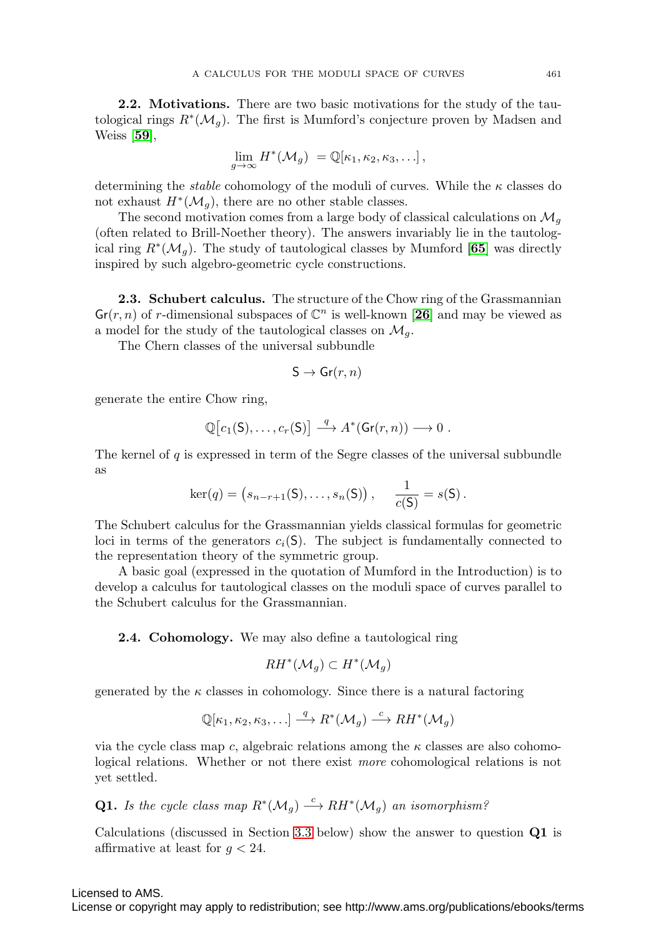**2.2. Motivations.** There are two basic motivations for the study of the tautological rings  $R^*(\mathcal{M}_q)$ . The first is Mumford's conjecture proven by Madsen and Weiss [**[59](#page-27-1)**],

$$
\lim_{g\to\infty} H^*(\mathcal{M}_g) = \mathbb{Q}[\kappa_1, \kappa_2, \kappa_3, \ldots],
$$

determining the *stable* cohomology of the moduli of curves. While the  $\kappa$  classes do not exhaust  $H^*(\mathcal{M}_q)$ , there are no other stable classes.

The second motivation comes from a large body of classical calculations on  $\mathcal{M}_q$ (often related to Brill-Noether theory). The answers invariably lie in the tautological ring  $R^*(\mathcal{M}_q)$ . The study of tautological classes by Mumford [[65](#page-27-0)] was directly inspired by such algebro-geometric cycle constructions.

**2.3. Schubert calculus.** The structure of the Chow ring of the Grassmannian  $\mathsf{Gr}(r, n)$  of r-dimensional subspaces of  $\mathbb{C}^n$  is well-known [[26](#page-26-1)] and may be viewed as a model for the study of the tautological classes on  $\mathcal{M}_q$ .

The Chern classes of the universal subbundle

$$
\mathsf{S}\to\mathsf{Gr}(r,n)
$$

generate the entire Chow ring,

$$
\mathbb{Q}[c_1(\mathsf{S}),\ldots,c_r(\mathsf{S})] \stackrel{q}{\longrightarrow} A^*(\mathsf{Gr}(r,n)) \longrightarrow 0.
$$

The kernel of  $q$  is expressed in term of the Segre classes of the universal subbundle as

$$
\ker(q) = (s_{n-r+1}(S), \ldots, s_n(S)), \quad \frac{1}{c(S)} = s(S).
$$

The Schubert calculus for the Grassmannian yields classical formulas for geometric loci in terms of the generators  $c_i(S)$ . The subject is fundamentally connected to the representation theory of the symmetric group.

A basic goal (expressed in the quotation of Mumford in the Introduction) is to develop a calculus for tautological classes on the moduli space of curves parallel to the Schubert calculus for the Grassmannian.

**2.4. Cohomology.** We may also define a tautological ring

$$
RH^*(\mathcal{M}_g)\subset H^*(\mathcal{M}_g)
$$

generated by the  $\kappa$  classes in cohomology. Since there is a natural factoring

$$
\mathbb{Q}[\kappa_1,\kappa_2,\kappa_3,\ldots] \stackrel{q}{\longrightarrow} R^*(\mathcal{M}_g) \stackrel{c}{\longrightarrow} RH^*(\mathcal{M}_g)
$$

via the cycle class map c, algebraic relations among the  $\kappa$  classes are also cohomological relations. Whether or not there exist more cohomological relations is not yet settled.

**Q1.** Is the cycle class map 
$$
R^*(\mathcal{M}_g) \stackrel{c}{\longrightarrow} RH^*(\mathcal{M}_g)
$$
 an isomorphism?

Calculations (discussed in Section [3.3](#page-4-0) below) show the answer to question **Q1** is affirmative at least for  $q < 24$ .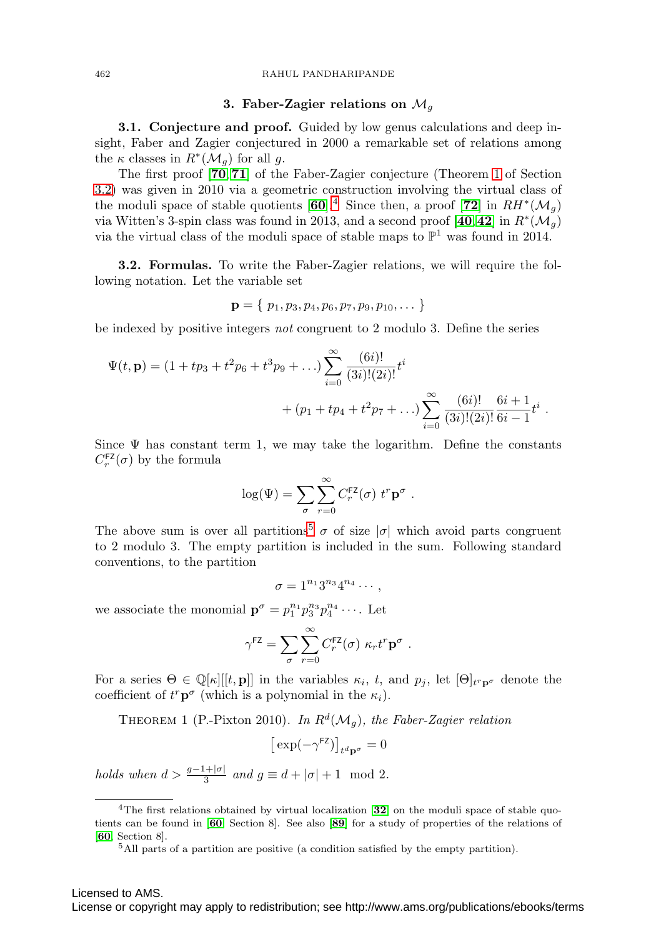#### 462 RAHUL PANDHARIPANDE

## **3. Faber-Zagier relations on**  $\mathcal{M}_q$

**3.1. Conjecture and proof.** Guided by low genus calculations and deep insight, Faber and Zagier conjectured in 2000 a remarkable set of relations among the  $\kappa$  classes in  $R^*(\mathcal{M}_g)$  for all g.

The first proof [**[70](#page-28-2)**, **[71](#page-28-3)**] of the Faber-Zagier conjecture (Theorem [1](#page-3-0) of Section [3.2\)](#page-3-1) was given in 2010 via a geometric construction involving the virtual class of the moduli space of stable quotients  $[60]$  $[60]$  $[60]$ .<sup>[4](#page-3-2)</sup> Since then, a proof  $[72]$  $[72]$  $[72]$  in  $RH^*(\mathcal{M}_q)$ via Witten's 3-spin class was found in 2013, and a second proof  $[40, 42]$  $[40, 42]$  $[40, 42]$  $[40, 42]$  $[40, 42]$  in  $R^*(\mathcal{M}_q)$ via the virtual class of the moduli space of stable maps to  $\mathbb{P}^1$  was found in 2014.

<span id="page-3-1"></span>**3.2. Formulas.** To write the Faber-Zagier relations, we will require the following notation. Let the variable set

$$
\mathbf{p} = \{ p_1, p_3, p_4, p_6, p_7, p_9, p_{10}, \dots \}
$$

be indexed by positive integers not congruent to 2 modulo 3. Define the series

$$
\Psi(t, \mathbf{p}) = (1 + tp_3 + t^2 p_6 + t^3 p_9 + ...) \sum_{i=0}^{\infty} \frac{(6i)!}{(3i)!(2i)!} t^i
$$
  
+  $(p_1 + tp_4 + t^2 p_7 + ...) \sum_{i=0}^{\infty} \frac{(6i)!}{(3i)!(2i)!} \frac{6i+1}{6i-1} t^i$ .

Since  $\Psi$  has constant term 1, we may take the logarithm. Define the constants  $C_r^{\text{FZ}}(\sigma)$  by the formula

$$
\log(\Psi) = \sum_{\sigma} \sum_{r=0}^{\infty} C_r^{\text{FZ}}(\sigma) \ t^r \mathbf{p}^{\sigma} .
$$

The above sum is over all partitions<sup>[5](#page-3-3)</sup>  $\sigma$  of size  $|\sigma|$  which avoid parts congruent to 2 modulo 3. The empty partition is included in the sum. Following standard conventions, to the partition

 $\sigma = 1^{n_1} 3^{n_3} 4^{n_4} \cdots$ 

we associate the monomial  $\mathbf{p}^{\sigma} = p_1^{n_1} p_3^{n_3} p_4^{n_4} \cdots$ . Let

$$
\gamma^{\text{FZ}} = \sum_{\sigma} \sum_{r=0}^{\infty} C_r^{\text{FZ}}(\sigma) \kappa_r t^r \mathbf{p}^{\sigma}.
$$

For a series  $\Theta \in \mathbb{Q}[\kappa][[t, \mathbf{p}]]$  in the variables  $\kappa_i$ , t, and  $p_j$ , let  $[\Theta]_{t^r \mathbf{p}^\sigma}$  denote the coefficient of  $t^r \mathbf{p}^{\sigma}$  (which is a polynomial in the  $\kappa_i$ ).

<span id="page-3-0"></span>THEOREM 1 (P.-Pixton 2010). In  $R^d(\mathcal{M}_q)$ , the Faber-Zagier relation

$$
\left[\exp(-\gamma^{\text{FZ}})\right]_{t^d \mathbf{p}^\sigma} = 0
$$

holds when  $d > \frac{g-1+|\sigma|}{3}$  and  $g \equiv d + |\sigma| + 1 \mod 2$ .

<sup>4</sup>The first relations obtained by virtual localization [**[32](#page-26-2)**] on the moduli space of stable quotients can be found in [**[60](#page-27-2)**, Section 8]. See also [**[89](#page-28-6)**] for a study of properties of the relations of [**[60](#page-27-2)**, Section 8].

<span id="page-3-3"></span><span id="page-3-2"></span><sup>5</sup>All parts of a partition are positive (a condition satisfied by the empty partition).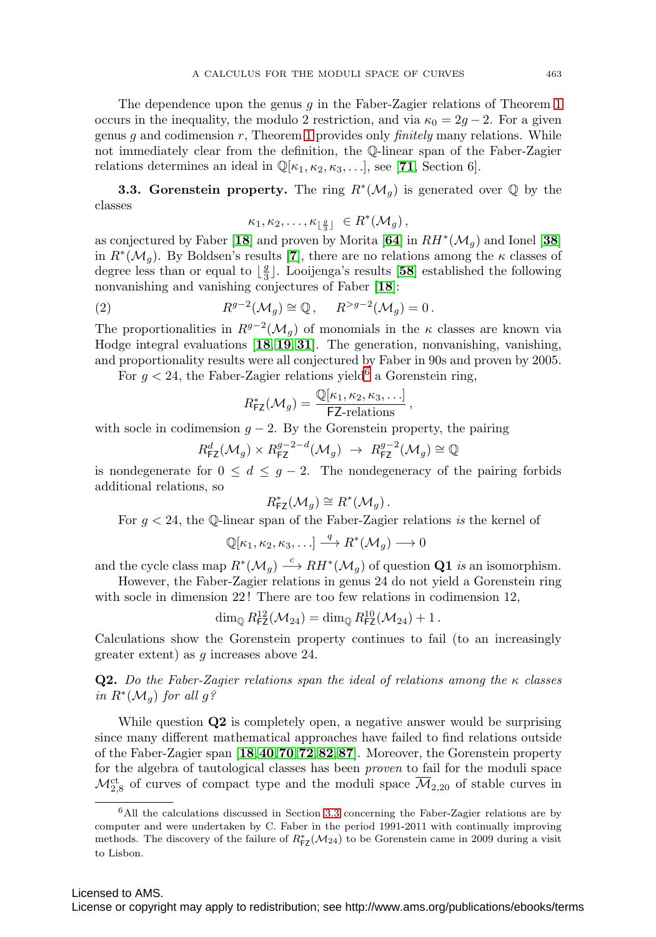The dependence upon the genus q in the Faber-Zagier relations of Theorem [1](#page-3-0) occurs in the inequality, the modulo 2 restriction, and via  $\kappa_0 = 2g - 2$ . For a given genus g and codimension  $r$ , Theorem [1](#page-3-0) provides only *finitely* many relations. While not immediately clear from the definition, the Q-linear span of the Faber-Zagier relations determines an ideal in  $\mathbb{Q}[\kappa_1, \kappa_2, \kappa_3, \ldots]$ , see [**[71](#page-28-3)**, Section 6].

<span id="page-4-0"></span>**3.3. Gorenstein property.** The ring  $R^*(\mathcal{M}_g)$  is generated over  $\mathbb Q$  by the classes

$$
\kappa_1, \kappa_2, \ldots, \kappa_{\lfloor \frac{g}{3} \rfloor} \in R^*(\mathcal{M}_g),
$$

as conjectured by Faber [[18](#page-26-0)] and proven by Morita  $[64]$  $[64]$  $[64]$  in  $RH^*(\mathcal{M}_q)$  and Ionel [[38](#page-26-3)] in  $R^*(\mathcal{M}_q)$ . By Boldsen's results [**[7](#page-25-2)**], there are no relations among the  $\kappa$  classes of degree less than or equal to  $\lfloor \frac{g}{3} \rfloor$ . Looijenga's results [[58](#page-27-6)] established the following nonvanishing and vanishing conjectures of Faber [**[18](#page-26-0)**]:

<span id="page-4-2"></span>(2) 
$$
R^{g-2}(\mathcal{M}_g) \cong \mathbb{Q}, \quad R^{>g-2}(\mathcal{M}_g) = 0.
$$

The proportionalities in  $R^{g-2}(\mathcal{M}_q)$  of monomials in the  $\kappa$  classes are known via Hodge integral evaluations [**[18](#page-26-0)**, **[19](#page-26-4)**, **[31](#page-26-5)**]. The generation, nonvanishing, vanishing, and proportionality results were all conjectured by Faber in 90s and proven by 2005.

For  $g < 24$ , the Faber-Zagier relations yield<sup>[6](#page-4-1)</sup> a Gorenstein ring,

$$
R_{\mathsf{FZ}}^*(\mathcal{M}_g) = \frac{\mathbb{Q}[\kappa_1, \kappa_2, \kappa_3, \ldots]}{\mathsf{FZ-relations}},
$$

with socle in codimension  $g - 2$ . By the Gorenstein property, the pairing

$$
R_{\text{FZ}}^d(\mathcal{M}_g) \times R_{\text{FZ}}^{g-2-d}(\mathcal{M}_g) \rightarrow R_{\text{FZ}}^{g-2}(\mathcal{M}_g) \cong \mathbb{Q}
$$

is nondegenerate for  $0 \leq d \leq g-2$ . The nondegeneracy of the pairing forbids additional relations, so

$$
R_{\mathsf{FZ}}^*(\mathcal{M}_g) \cong R^*(\mathcal{M}_g).
$$

For  $g < 24$ , the Q-linear span of the Faber-Zagier relations is the kernel of

$$
\mathbb{Q}[\kappa_1,\kappa_2,\kappa_3,\ldots]\stackrel{q}{\longrightarrow}R^*(\mathcal{M}_g)\longrightarrow 0
$$

and the cycle class map  $R^*(\mathcal{M}_q) \stackrel{c}{\longrightarrow} RH^*(\mathcal{M}_q)$  of question **Q1** is an isomorphism.

However, the Faber-Zagier relations in genus 24 do not yield a Gorenstein ring with socle in dimension 22! There are too few relations in codimension 12,

$$
\dim_{\mathbb{Q}} R_{\mathsf{FZ}}^{12}(\mathcal{M}_{24}) = \dim_{\mathbb{Q}} R_{\mathsf{FZ}}^{10}(\mathcal{M}_{24}) + 1.
$$

Calculations show the Gorenstein property continues to fail (to an increasingly greater extent) as g increases above 24.

**Q2.** Do the Faber-Zagier relations span the ideal of relations among the  $\kappa$  classes in  $R^*(\mathcal{M}_q)$  for all  $g$ ?

While question **Q2** is completely open, a negative answer would be surprising since many different mathematical approaches have failed to find relations outside of the Faber-Zagier span [**[18](#page-26-0)**,**[40](#page-27-3)**,**[70](#page-28-2)**,**[72](#page-28-5)**,**[82](#page-28-7)**,**[87](#page-28-8)**]. Moreover, the Gorenstein property for the algebra of tautological classes has been proven to fail for the moduli space  $\mathcal{M}^{\text{ct}}_{2,8}$  of curves of compact type and the moduli space  $\overline{\mathcal{M}}_{2,20}$  of stable curves in

<span id="page-4-1"></span><sup>6</sup>All the calculations discussed in Section [3.3](#page-4-0) concerning the Faber-Zagier relations are by computer and were undertaken by C. Faber in the period 1991-2011 with continually improving methods. The discovery of the failure of  $R_{\textsf{FZ}}^*({\mathcal{M}}_{24})$  to be Gorenstein came in 2009 during a visit to Lisbon.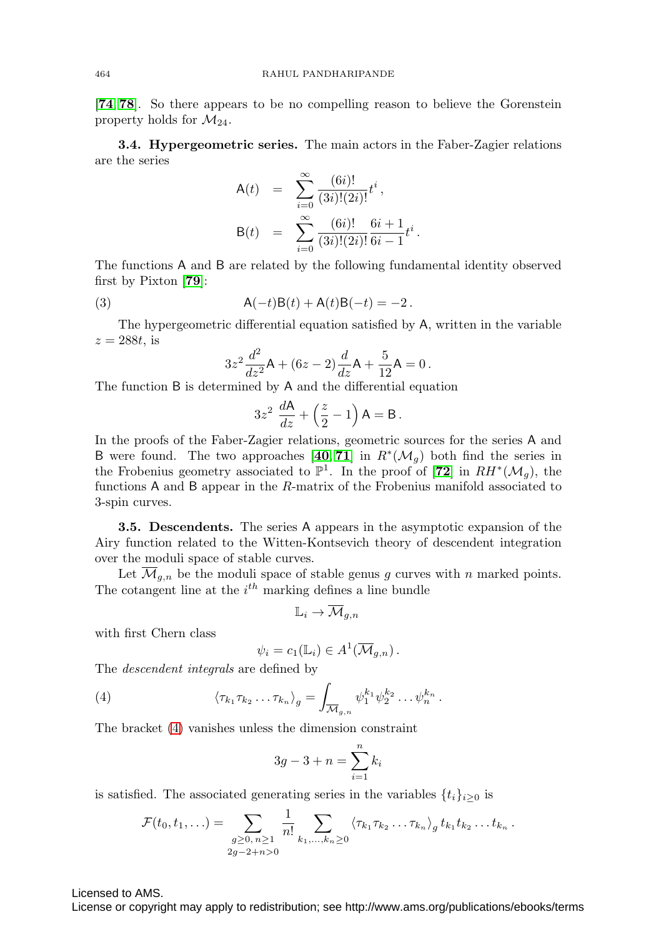[**[74](#page-28-9)**, **[78](#page-28-10)**]. So there appears to be no compelling reason to believe the Gorenstein property holds for  $\mathcal{M}_{24}$ .

<span id="page-5-1"></span>**3.4. Hypergeometric series.** The main actors in the Faber-Zagier relations are the series

$$
A(t) = \sum_{i=0}^{\infty} \frac{(6i)!}{(3i)!(2i)!} t^{i},
$$
  
\n
$$
B(t) = \sum_{i=0}^{\infty} \frac{(6i)!}{(3i)!(2i)!} \frac{6i+1}{6i-1} t^{i}.
$$

The functions A and B are related by the following fundamental identity observed first by Pixton [**[79](#page-28-4)**]:

<span id="page-5-2"></span>(3)  $A(-t)B(t) + A(t)B(-t) = -2$ .

The hypergeometric differential equation satisfied by A, written in the variable  $z = 288t$ , is

$$
3z^{2} \frac{d^{2}}{dz^{2}} \mathsf{A} + (6z - 2) \frac{d}{dz} \mathsf{A} + \frac{5}{12} \mathsf{A} = 0.
$$

The function B is determined by A and the differential equation

$$
3z^2 \frac{dA}{dz} + \left(\frac{z}{2} - 1\right) A = B.
$$

In the proofs of the Faber-Zagier relations, geometric sources for the series A and B were found. The two approaches  $[40, 71]$  $[40, 71]$  $[40, 71]$  $[40, 71]$  $[40, 71]$  in  $R^*(\mathcal{M}_q)$  both find the series in the Frobenius geometry associated to  $\mathbb{P}^1$ . In the proof of [**[72](#page-28-5)**] in  $RH^*(\mathcal{M}_q)$ , the functions A and B appear in the R-matrix of the Frobenius manifold associated to 3-spin curves.

**3.5. Descendents.** The series A appears in the asymptotic expansion of the Airy function related to the Witten-Kontsevich theory of descendent integration over the moduli space of stable curves.

Let  $\overline{\mathcal{M}}_{g,n}$  be the moduli space of stable genus g curves with n marked points. The cotangent line at the  $i^{th}$  marking defines a line bundle

$$
\mathbb{L}_i \to \overline{\mathcal{M}}_{g,n}
$$

with first Chern class

$$
\psi_i = c_1(\mathbb{L}_i) \in A^1(\overline{\mathcal{M}}_{g,n}).
$$

The descendent integrals are defined by

<span id="page-5-0"></span>(4) 
$$
\langle \tau_{k_1} \tau_{k_2} \dots \tau_{k_n} \rangle_g = \int_{\overline{\mathcal{M}}_{g,n}} \psi_1^{k_1} \psi_2^{k_2} \dots \psi_n^{k_n}.
$$

The bracket [\(4\)](#page-5-0) vanishes unless the dimension constraint

$$
3g - 3 + n = \sum_{i=1}^{n} k_i
$$

is satisfied. The associated generating series in the variables  $\{t_i\}_{i\geq 0}$  is

$$
\mathcal{F}(t_0,t_1,\ldots) = \sum_{\substack{g\geq 0,\,n\geq 1\\2g-2+n>0}}\frac{1}{n!}\sum_{k_1,\ldots,k_n\geq 0}\left\langle \tau_{k_1}\tau_{k_2}\ldots\tau_{k_n}\right\rangle_g t_{k_1}t_{k_2}\ldots t_{k_n}.
$$

Licensed to AMS.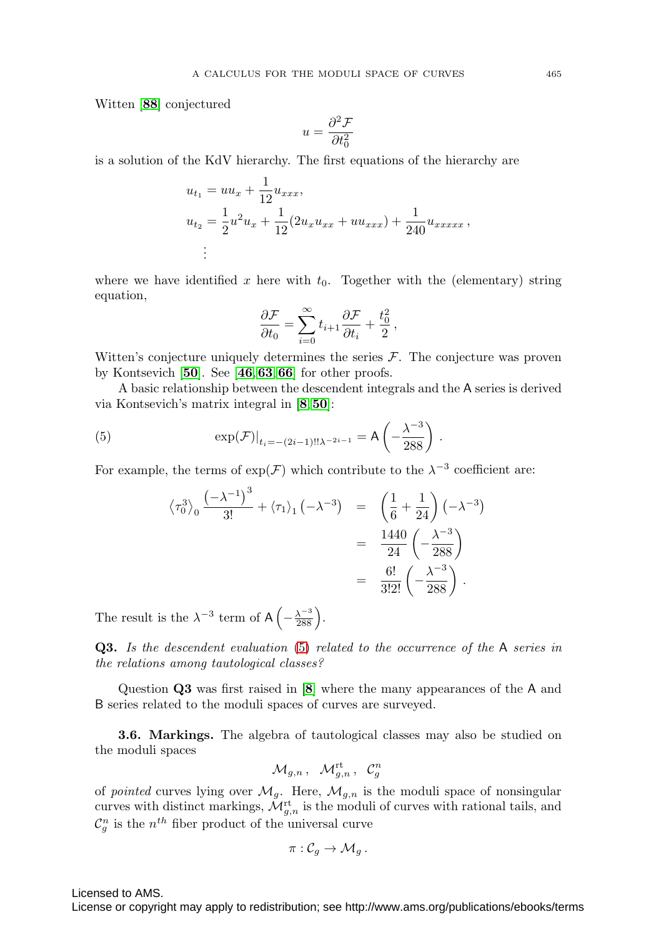Witten [**[88](#page-28-0)**] conjectured

$$
u = \frac{\partial^2 \mathcal{F}}{\partial t_0^2}
$$

is a solution of the KdV hierarchy. The first equations of the hierarchy are

$$
u_{t_1} = uu_x + \frac{1}{12}u_{xxx},
$$
  
\n
$$
u_{t_2} = \frac{1}{2}u^2u_x + \frac{1}{12}(2u_xu_{xx} + uu_{xxx}) + \frac{1}{240}u_{xxxxx},
$$
  
\n
$$
\vdots
$$

where we have identified x here with  $t_0$ . Together with the (elementary) string equation,

$$
\frac{\partial \mathcal{F}}{\partial t_0} = \sum_{i=0}^{\infty} t_{i+1} \frac{\partial \mathcal{F}}{\partial t_i} + \frac{t_0^2}{2},
$$

Witten's conjecture uniquely determines the series  $\mathcal{F}$ . The conjecture was proven by Kontsevich [**[50](#page-27-7)**]. See [**[46](#page-27-8)**,**[63](#page-27-9)**,**[66](#page-27-10)**] for other proofs.

A basic relationship between the descendent integrals and the A series is derived via Kontsevich's matrix integral in [**[8](#page-25-3)**,**[50](#page-27-7)**]:

<span id="page-6-0"></span>(5) 
$$
\exp(\mathcal{F})|_{t_i = -(2i-1)!!\lambda^{-2i-1}} = A\left(-\frac{\lambda^{-3}}{288}\right).
$$

For example, the terms of  $\exp(\mathcal{F})$  which contribute to the  $\lambda^{-3}$  coefficient are:

$$
\langle \tau_0^3 \rangle_0 \frac{(-\lambda^{-1})^3}{3!} + \langle \tau_1 \rangle_1 (-\lambda^{-3}) = \left(\frac{1}{6} + \frac{1}{24}\right) (-\lambda^{-3})
$$
  
=  $\frac{1440}{24} \left(-\frac{\lambda^{-3}}{288}\right)$   
=  $\frac{6!}{3!2!} \left(-\frac{\lambda^{-3}}{288}\right)$ .

The result is the  $\lambda^{-3}$  term of  $A\left(-\frac{\lambda^{-3}}{288}\right)$ .

**Q3.** Is the descendent evaluation [\(5\)](#page-6-0) related to the occurrence of the A series in the relations among tautological classes?

Question **Q3** was first raised in [**[8](#page-25-3)**] where the many appearances of the A and B series related to the moduli spaces of curves are surveyed.

**3.6. Markings.** The algebra of tautological classes may also be studied on the moduli spaces

$$
\mathcal{M}_{g,n}\,,\;\; \mathcal{M}_{g,n}^{\mathrm{rt}}\,,\;\; \mathcal{C}_g^n
$$

of *pointed* curves lying over  $\mathcal{M}_g$ . Here,  $\mathcal{M}_{g,n}$  is the moduli space of nonsingular curves with distinct markings,  $\mathcal{M}_{g,n}^{\text{rt}}$  is the moduli of curves with rational tails, and  $\mathcal{C}_{g}^{n}$  is the  $n^{th}$  fiber product of the universal curve

$$
\pi:\mathcal{C}_g\to \mathcal{M}_g.
$$

Licensed to AMS.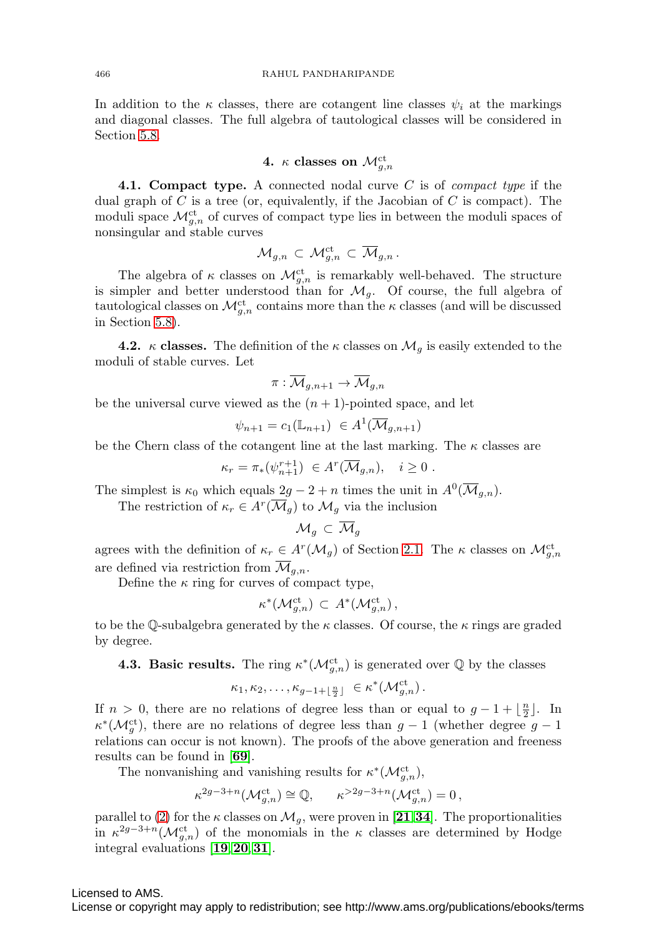In addition to the  $\kappa$  classes, there are cotangent line classes  $\psi_i$  at the markings and diagonal classes. The full algebra of tautological classes will be considered in Section [5.8.](#page-17-0)

4. 
$$
\kappa
$$
 classes on  $\mathcal{M}_{g,n}^{\mathrm{ct}}$ 

**4.1. Compact type.** A connected nodal curve C is of compact type if the dual graph of  $C$  is a tree (or, equivalently, if the Jacobian of  $C$  is compact). The moduli space  $\mathcal{M}_{g,n}^{\mathrm{ct}}$  of curves of compact type lies in between the moduli spaces of nonsingular and stable curves

$$
\mathcal{M}_{g,n}\, \subset\, \mathcal{M}_{g,n}^{\mathrm{ct}}\, \subset\, \overline{\mathcal{M}}_{g,n}\, .
$$

The algebra of  $\kappa$  classes on  $\mathcal{M}^{\text{ct}}_{g,n}$  is remarkably well-behaved. The structure is simpler and better understood than for  $\mathcal{M}_q$ . Of course, the full algebra of tautological classes on  $\mathcal{M}_{g,n}^{\mathrm{ct}}$  contains more than the  $\kappa$  classes (and will be discussed in Section [5.8\)](#page-17-0).

**4.2.** κ **classes.** The definition of the  $\kappa$  classes on  $\mathcal{M}_g$  is easily extended to the moduli of stable curves. Let

$$
\pi: \overline{\mathcal{M}}_{g,n+1} \to \overline{\mathcal{M}}_{g,n}
$$

be the universal curve viewed as the  $(n + 1)$ -pointed space, and let

$$
\psi_{n+1} = c_1(\mathbb{L}_{n+1}) \in A^1(\overline{\mathcal{M}}_{g,n+1})
$$

be the Chern class of the cotangent line at the last marking. The  $\kappa$  classes are

$$
\kappa_r = \pi_*(\psi_{n+1}^{r+1}) \in A^r(\overline{\mathcal{M}}_{g,n}), \quad i \ge 0.
$$

The simplest is  $\kappa_0$  which equals  $2g - 2 + n$  times the unit in  $A^0(\overline{\mathcal{M}}_{q,n}).$ 

The restriction of  $\kappa_r \in A^r(\overline{\mathcal{M}}_q)$  to  $\mathcal{M}_q$  via the inclusion

$$
\mathcal{M}_g\, \subset\, \overline{\mathcal{M}}_g
$$

agrees with the definition of  $\kappa_r \in A^r(\mathcal{M}_g)$  of Section [2.1.](#page-1-4) The  $\kappa$  classes on  $\mathcal{M}_{g,n}^{\text{ct}}$ are defined via restriction from  $\mathcal{M}_{q,n}$ .

Define the  $\kappa$  ring for curves of compact type,

$$
\kappa^*(\mathcal{M}_{g,n}^{\mathrm{ct}}) \subset A^*(\mathcal{M}_{g,n}^{\mathrm{ct}}),
$$

to be the Q-subalgebra generated by the  $\kappa$  classes. Of course, the  $\kappa$  rings are graded by degree.

**4.3. Basic results.** The ring  $\kappa^*(\mathcal{M}_{g,n}^{\mathrm{ct}})$  is generated over  $\mathbb{Q}$  by the classes

$$
\kappa_1, \kappa_2, \ldots, \kappa_{g-1+\lfloor \frac{n}{2} \rfloor} \in \kappa^*({\mathcal{M}}_{g,n}^{\mathrm{ct}}).
$$

If  $n > 0$ , there are no relations of degree less than or equal to  $g - 1 + \lfloor \frac{n}{2} \rfloor$ . In  $\kappa^*(\mathcal{M}_g^{\text{ct}})$ , there are no relations of degree less than  $g-1$  (whether degree  $g-1$ relations can occur is not known). The proofs of the above generation and freeness results can be found in [**[69](#page-28-1)**].

The nonvanishing and vanishing results for  $\kappa^*(\mathcal{M}_{g,n}^{\mathrm{ct}})$ ,

$$
\kappa^{2g-3+n}({\mathcal{M}}_{g,n}^{\mathrm{ct}}) \cong {\mathbb Q}, \qquad \kappa^{>2g-3+n}({\mathcal{M}}_{g,n}^{\mathrm{ct}}) = 0 \,,
$$

parallel to [\(2\)](#page-4-2) for the  $\kappa$  classes on  $\mathcal{M}_g$ , were proven in [[21](#page-26-6),[34](#page-26-7)]. The proportionalities in  $\kappa^{2g-3+n}(\mathcal{M}^{\text{ct}}_{g,n})$  of the monomials in the  $\kappa$  classes are determined by Hodge integral evaluations [**[19](#page-26-4)**,**[20](#page-26-8)**,**[31](#page-26-5)**].

## Licensed to AMS.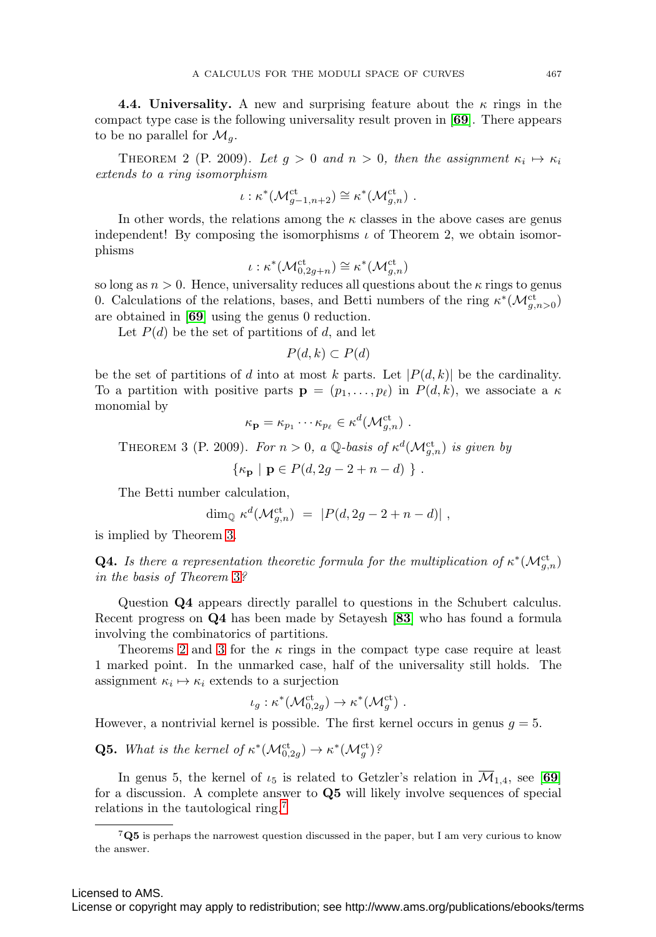**4.4. Universality.** A new and surprising feature about the  $\kappa$  rings in the compact type case is the following universality result proven in [**[69](#page-28-1)**]. There appears to be no parallel for  $\mathcal{M}_q$ .

<span id="page-8-1"></span>THEOREM 2 (P. 2009). Let  $g > 0$  and  $n > 0$ , then the assignment  $\kappa_i \mapsto \kappa_i$ extends to a ring isomorphism

$$
\iota: \kappa^*({\mathcal{M}}_{g-1,n+2}^{\mathrm{ct}}) \cong \kappa^*({\mathcal{M}}_{g,n}^{\mathrm{ct}}) .
$$

In other words, the relations among the  $\kappa$  classes in the above cases are genus independent! By composing the isomorphisms  $\iota$  of Theorem 2, we obtain isomorphisms

$$
\iota: \kappa^*({\mathcal{M}}_{0,2g+n}^{\mathrm{ct}}) \cong \kappa^*({\mathcal{M}}_{g,n}^{\mathrm{ct}})
$$

so long as  $n > 0$ . Hence, universality reduces all questions about the  $\kappa$  rings to genus 0. Calculations of the relations, bases, and Betti numbers of the ring  $\kappa^*(\mathcal{M}_{g,n>0}^{ct})$ are obtained in [**[69](#page-28-1)**] using the genus 0 reduction.

Let  $P(d)$  be the set of partitions of d, and let

 $P(d, k) \subset P(d)$ 

be the set of partitions of d into at most k parts. Let  $|P(d, k)|$  be the cardinality. To a partition with positive parts  $\mathbf{p} = (p_1, \ldots, p_\ell)$  in  $P(d, k)$ , we associate a  $\kappa$ monomial by

$$
\kappa_{\mathbf{p}} = \kappa_{p_1} \cdots \kappa_{p_\ell} \in \kappa^d(\mathcal{M}_{g,n}^{\mathrm{ct}}) .
$$

<span id="page-8-0"></span>THEOREM 3 (P. 2009). For  $n > 0$ , a Q-basis of  $\kappa^d(\mathcal{M}_{g,n}^{ct})$  is given by

$$
\{\kappa_{\mathbf{p}} \mid \mathbf{p} \in P(d, 2g - 2 + n - d) \} .
$$

The Betti number calculation,

$$
\dim_{\mathbb{Q}} \kappa^d(\mathcal{M}_{g,n}^{\mathrm{ct}}) = |P(d, 2g - 2 + n - d)|,
$$

is implied by Theorem [3.](#page-8-0)

**Q4.** Is there a representation theoretic formula for the multiplication of  $\kappa^*(\mathcal{M}_{g,n}^{\mathrm{ct}})$ in the basis of Theorem [3](#page-8-0)?

Question **Q4** appears directly parallel to questions in the Schubert calculus. Recent progress on **Q4** has been made by Setayesh [**[83](#page-28-11)**] who has found a formula involving the combinatorics of partitions.

Theorems [2](#page-8-1) and [3](#page-8-0) for the  $\kappa$  rings in the compact type case require at least 1 marked point. In the unmarked case, half of the universality still holds. The assignment  $\kappa_i \mapsto \kappa_i$  extends to a surjection

$$
\iota_g: \kappa^*({\mathcal{M}}_{0,2g}^{\mathrm{ct}}) \to \kappa^*({\mathcal{M}}_{g}^{\mathrm{ct}}) .
$$

However, a nontrivial kernel is possible. The first kernel occurs in genus  $g = 5$ .

**Q5.** What is the kernel of  $\kappa^*(\mathcal{M}_{0,2g}^{ct}) \to \kappa^*(\mathcal{M}_g^{ct})$ ?

In genus 5, the kernel of  $\iota_5$  is related to Getzler's relation in  $\overline{\mathcal{M}}_{1,4}$ , see [[69](#page-28-1)] for a discussion. A complete answer to **Q5** will likely involve sequences of special relations in the tautological ring.[7](#page-8-2)

<span id="page-8-2"></span><sup>7</sup>**Q5** is perhaps the narrowest question discussed in the paper, but I am very curious to know the answer.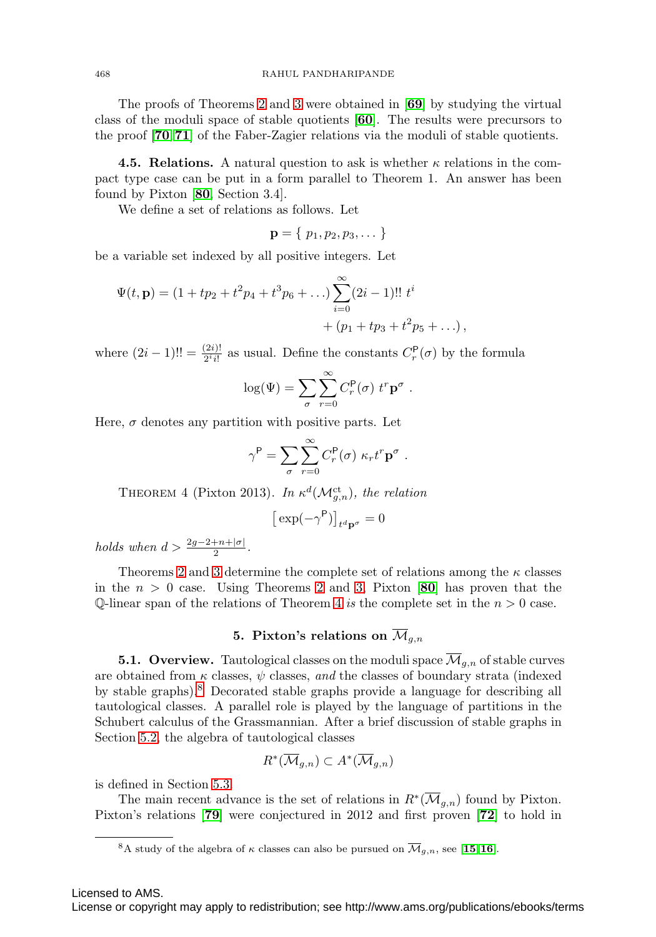The proofs of Theorems [2](#page-8-1) and [3](#page-8-0) were obtained in [**[69](#page-28-1)**] by studying the virtual class of the moduli space of stable quotients [**[60](#page-27-2)**]. The results were precursors to the proof [**[70](#page-28-2)**,**[71](#page-28-3)**] of the Faber-Zagier relations via the moduli of stable quotients.

**4.5. Relations.** A natural question to ask is whether  $\kappa$  relations in the compact type case can be put in a form parallel to Theorem 1. An answer has been found by Pixton [**[80](#page-28-12)**, Section 3.4].

We define a set of relations as follows. Let

$$
\mathbf{p}=\{\ p_1,p_2,p_3,\dots\}
$$

be a variable set indexed by all positive integers. Let

$$
\Psi(t, \mathbf{p}) = (1 + tp_2 + t^2p_4 + t^3p_6 + ...) \sum_{i=0}^{\infty} (2i - 1)!! \ t^i
$$
  
+ (p\_1 + tp\_3 + t^2p\_5 + ...

where  $(2i-1)!! = \frac{(2i)!}{2^i i!}$  as usual. Define the constants  $C_r^{\mathsf{P}}(\sigma)$  by the formula

$$
\log(\Psi) = \sum_{\sigma} \sum_{r=0}^{\infty} C_r^{\mathsf{P}}(\sigma) \ t^r \mathbf{p}^{\sigma} .
$$

 $.)$ ,

Here,  $\sigma$  denotes any partition with positive parts. Let

$$
\gamma^{\mathsf{P}} = \sum_{\sigma} \sum_{r=0}^{\infty} C_r^{\mathsf{P}}(\sigma) \kappa_r t^r \mathbf{p}^{\sigma}.
$$

<span id="page-9-0"></span>THEOREM 4 (Pixton 2013). In  $\kappa^d(\mathcal{M}_{g,n}^{\text{ct}})$ , the relation

$$
\left[\left.\exp(-\gamma^{\mathsf{P}})\right]\right]_{t^d\mathbf{p}^\sigma}=0
$$

holds when  $d > \frac{2g-2+n+|\sigma|}{2}$ .

Theorems [2](#page-8-1) and [3](#page-8-0) determine the complete set of relations among the  $\kappa$  classes in the  $n > 0$  case. Using Theorems [2](#page-8-1) and [3,](#page-8-0) Pixton  $[80]$  $[80]$  $[80]$  has proven that the Q-linear span of the relations of Theorem [4](#page-9-0) is the complete set in the  $n > 0$  case.

# **5. Pixton's relations on**  $\overline{\mathcal{M}}_{g,n}$

**5.1. Overview.** Tautological classes on the moduli space  $\overline{\mathcal{M}}_{q,n}$  of stable curves are obtained from  $\kappa$  classes,  $\psi$  classes, and the classes of boundary strata (indexed by stable graphs).[8](#page-9-1) Decorated stable graphs provide a language for describing all tautological classes. A parallel role is played by the language of partitions in the Schubert calculus of the Grassmannian. After a brief discussion of stable graphs in Section [5.2,](#page-10-0) the algebra of tautological classes

$$
R^*(\overline{\mathcal{M}}_{g,n})\subset A^*(\overline{\mathcal{M}}_{g,n})
$$

is defined in Section [5.3.](#page-12-0)

The main recent advance is the set of relations in  $R^*(\mathcal{M}_{g,n})$  found by Pixton. Pixton's relations [**[79](#page-28-4)**] were conjectured in 2012 and first proven [**[72](#page-28-5)**] to hold in

Licensed to AMS.

<span id="page-9-1"></span><sup>&</sup>lt;sup>8</sup>A study of the algebra of  $\kappa$  classes can also be pursued on  $\overline{\mathcal{M}}_{g,n}$ , see [[15](#page-25-4), [16](#page-25-5)].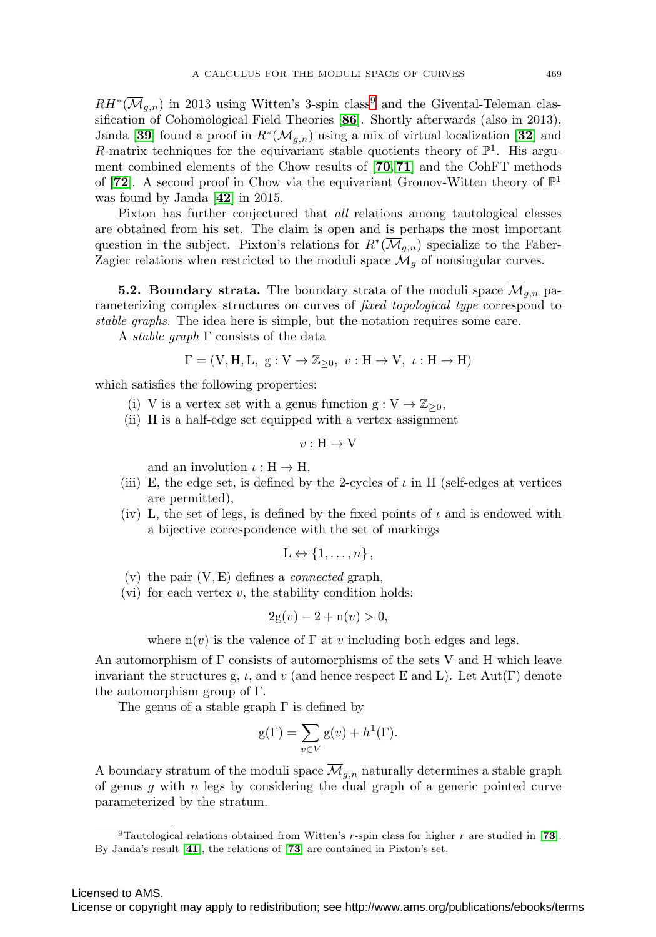$RH^*(\overline{\mathcal{M}}_{q,n})$  in 2013 using Witten's 3-spin class<sup>[9](#page-10-1)</sup> and the Givental-Teleman classification of Cohomological Field Theories [**[86](#page-28-13)**]. Shortly afterwards (also in 2013), Janda [[39](#page-27-11)] found a proof in  $R^*(\overline{\mathcal{M}}_{q,n})$  using a mix of virtual localization [[32](#page-26-2)] and R-matrix techniques for the equivariant stable quotients theory of  $\mathbb{P}^1$ . His argument combined elements of the Chow results of [**[70](#page-28-2)**, **[71](#page-28-3)**] and the CohFT methods of [**[72](#page-28-5)**]. A second proof in Chow via the equivariant Gromov-Witten theory of  $\mathbb{P}^1$ was found by Janda [**[42](#page-27-4)**] in 2015.

Pixton has further conjectured that all relations among tautological classes are obtained from his set. The claim is open and is perhaps the most important question in the subject. Pixton's relations for  $R^*(\overline{\mathcal{M}}_{q,n})$  specialize to the Faber-Zagier relations when restricted to the moduli space  $\mathcal{M}_q$  of nonsingular curves.

<span id="page-10-0"></span>**5.2. Boundary strata.** The boundary strata of the moduli space  $\overline{\mathcal{M}}_{q,n}$  parameterizing complex structures on curves of *fixed topological type* correspond to stable graphs. The idea here is simple, but the notation requires some care.

A *stable graph*  $\Gamma$  consists of the data

$$
\Gamma = (\mathbf{V}, \mathbf{H}, \mathbf{L}, \mathbf{g} : \mathbf{V} \to \mathbb{Z}_{\geq 0}, \ v : \mathbf{H} \to \mathbf{V}, \ \iota : \mathbf{H} \to \mathbf{H})
$$

which satisfies the following properties:

- (i) V is a vertex set with a genus function  $g: V \to \mathbb{Z}_{\geq 0}$ ,
- (ii) H is a half-edge set equipped with a vertex assignment

$$
v: H \to V
$$

and an involution  $\iota : H \to H$ ,

- (iii) E, the edge set, is defined by the 2-cycles of  $\iota$  in H (self-edges at vertices are permitted),
- (iv) L, the set of legs, is defined by the fixed points of  $\iota$  and is endowed with a bijective correspondence with the set of markings

$$
L \leftrightarrow \{1, \ldots, n\},\
$$

- (v) the pair  $(V, E)$  defines a *connected* graph,
- (vi) for each vertex  $v$ , the stability condition holds:

$$
2g(v) - 2 + n(v) > 0,
$$

where  $n(v)$  is the valence of  $\Gamma$  at v including both edges and legs.

An automorphism of  $\Gamma$  consists of automorphisms of the sets V and H which leave invariant the structures g,  $\iota$ , and  $\iota$  (and hence respect E and L). Let Aut(Γ) denote the automorphism group of Γ.

The genus of a stable graph  $\Gamma$  is defined by

$$
g(\Gamma) = \sum_{v \in V} g(v) + h^{1}(\Gamma).
$$

A boundary stratum of the moduli space  $\overline{\mathcal{M}}_{g,n}$  naturally determines a stable graph of genus  $g$  with  $n$  legs by considering the dual graph of a generic pointed curve parameterized by the stratum.

<span id="page-10-1"></span><sup>9</sup>Tautological relations obtained from Witten's r-spin class for higher r are studied in [**[73](#page-28-14)**]. By Janda's result [**[41](#page-27-12)**], the relations of [**[73](#page-28-14)**] are contained in Pixton's set.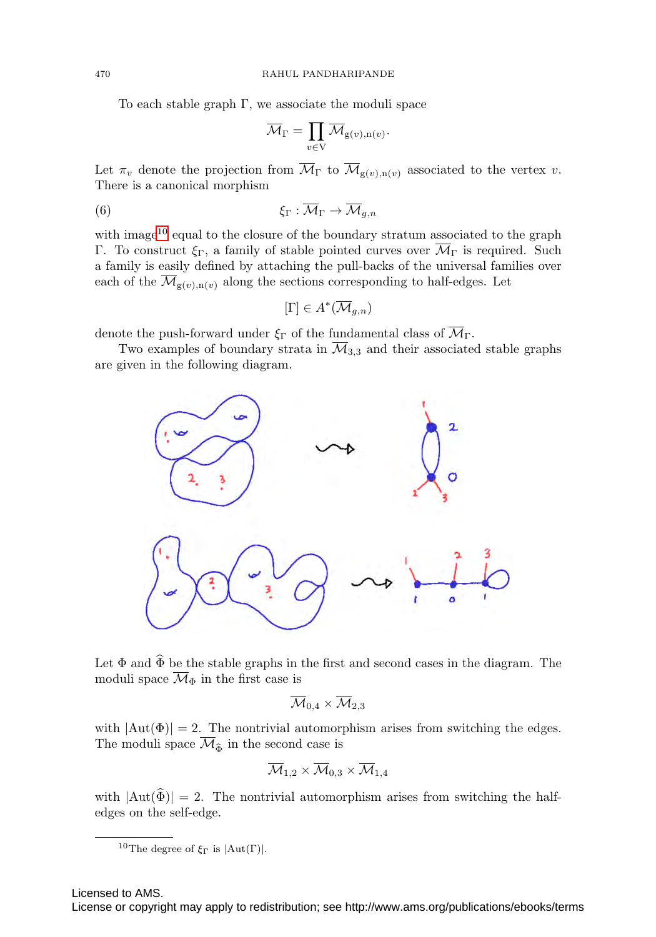To each stable graph  $\Gamma$ , we associate the moduli space

$$
\overline{\mathcal{M}}_\Gamma = \prod_{v \in \mathrm{V}} \overline{\mathcal{M}}_{\mathrm{g}(v),\mathrm{n}(v)}.
$$

Let  $\pi_v$  denote the projection from  $\overline{\mathcal{M}}_{\Gamma}$  to  $\overline{\mathcal{M}}_{g(v),n(v)}$  associated to the vertex v. There is a canonical morphism

$$
\xi_{\Gamma} : \overline{\mathcal{M}}_{\Gamma} \to \overline{\mathcal{M}}_{g,n}
$$

with image<sup>[10](#page-11-0)</sup> equal to the closure of the boundary stratum associated to the graph Γ. To construct  $\xi_{\Gamma}$ , a family of stable pointed curves over  $\overline{\mathcal{M}}_{\Gamma}$  is required. Such a family is easily defined by attaching the pull-backs of the universal families over each of the  $\mathcal{M}_{g(v),n(v)}$  along the sections corresponding to half-edges. Let

$$
[\Gamma] \in A^*(\overline{\mathcal{M}}_{g,n})
$$

denote the push-forward under  $\xi_{\Gamma}$  of the fundamental class of  $\overline{\mathcal{M}}_{\Gamma}$ .

Two examples of boundary strata in  $\overline{\mathcal{M}}_{3,3}$  and their associated stable graphs are given in the following diagram.



Let  $\Phi$  and  $\widehat{\Phi}$  be the stable graphs in the first and second cases in the diagram. The moduli space  $\overline{\mathcal{M}}_{\Phi}$  in the first case is

$$
\overline{\mathcal{M}}_{0,4}\times\overline{\mathcal{M}}_{2,3}
$$

with  $|\text{Aut}(\Phi)| = 2$ . The nontrivial automorphism arises from switching the edges. The moduli space  $\mathcal{M}_{\widehat{\Phi}}$  in the second case is

$$
\overline{\mathcal{M}}_{1,2}\times\overline{\mathcal{M}}_{0,3}\times\overline{\mathcal{M}}_{1,4}
$$

with  $|\text{Aut}(\tilde{\Phi})| = 2$ . The nontrivial automorphism arises from switching the halfedges on the self-edge.

Licensed to AMS.

<span id="page-11-0"></span><sup>&</sup>lt;sup>10</sup>The degree of  $\xi_{\Gamma}$  is  $|Aut(\Gamma)|$ .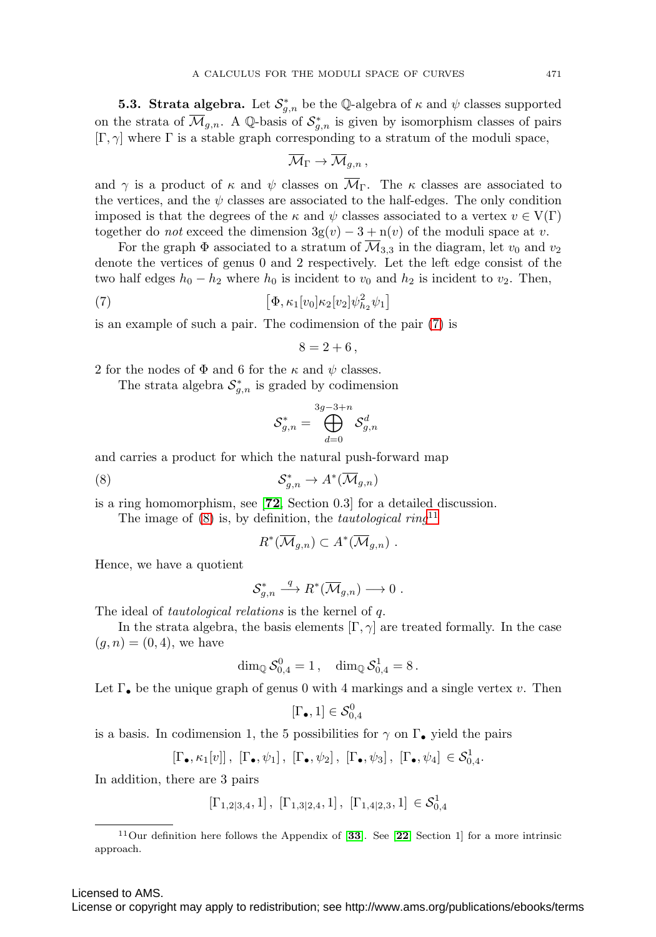<span id="page-12-0"></span>**5.3. Strata algebra.** Let  $\mathcal{S}_{g,n}^*$  be the Q-algebra of  $\kappa$  and  $\psi$  classes supported on the strata of  $\mathcal{M}_{g,n}$ . A Q-basis of  $\mathcal{S}_{g,n}^*$  is given by isomorphism classes of pairs  $[\Gamma, \gamma]$  where  $\Gamma$  is a stable graph corresponding to a stratum of the moduli space,

$$
\overline{\mathcal{M}}_\Gamma \to \overline{\mathcal{M}}_{g,n} \, ,
$$

and  $\gamma$  is a product of  $\kappa$  and  $\psi$  classes on  $\overline{\mathcal{M}}_{\Gamma}$ . The  $\kappa$  classes are associated to the vertices, and the  $\psi$  classes are associated to the half-edges. The only condition imposed is that the degrees of the  $\kappa$  and  $\psi$  classes associated to a vertex  $v \in V(\Gamma)$ together do *not* exceed the dimension  $3g(v) - 3 + n(v)$  of the moduli space at v.

For the graph  $\Phi$  associated to a stratum of  $\overline{\mathcal{M}}_{3,3}$  in the diagram, let  $v_0$  and  $v_2$ denote the vertices of genus 0 and 2 respectively. Let the left edge consist of the two half edges  $h_0 - h_2$  where  $h_0$  is incident to  $v_0$  and  $h_2$  is incident to  $v_2$ . Then,

<span id="page-12-1"></span>(7) 
$$
\left[\Phi, \kappa_1[v_0]\kappa_2[v_2]\psi_{h_2}^2\psi_1\right]
$$

is an example of such a pair. The codimension of the pair [\(7\)](#page-12-1) is

$$
8=2+6,
$$

2 for the nodes of  $\Phi$  and 6 for the  $\kappa$  and  $\psi$  classes.

The strata algebra  $\mathcal{S}_{g,n}^*$  is graded by codimension

$$
\mathcal{S}_{g,n}^* = \bigoplus_{d=0}^{3g-3+n} \mathcal{S}_{g,n}^d
$$

and carries a product for which the natural push-forward map

<span id="page-12-2"></span>
$$
(8) \tS_{g,n}^* \to A^*(\overline{\mathcal{M}}_{g,n})
$$

is a ring homomorphism, see [**[72](#page-28-5)**, Section 0.3] for a detailed discussion.

The image of  $(8)$  is, by definition, the *tautological ring*<sup>[11](#page-12-3)</sup>

$$
R^*(\overline{\mathcal{M}}_{g,n}) \subset A^*(\overline{\mathcal{M}}_{g,n}) \ .
$$

Hence, we have a quotient

$$
\mathcal{S}_{g,n}^*\stackrel{q}{\longrightarrow} R^*(\overline{\mathcal{M}}_{g,n})\longrightarrow 0\ .
$$

The ideal of *tautological relations* is the kernel of q.

In the strata algebra, the basis elements  $[\Gamma, \gamma]$  are treated formally. In the case  $(g, n) = (0, 4)$ , we have

$$
\dim_\mathbb{Q} \mathcal{S}_{0,4}^0 = 1\,, \quad \dim_\mathbb{Q} \mathcal{S}_{0,4}^1 = 8\,.
$$

Let  $\Gamma_{\bullet}$  be the unique graph of genus 0 with 4 markings and a single vertex v. Then

$$
[\Gamma_{\bullet},1]\in\mathcal{S}_{0,4}^0
$$

is a basis. In codimension 1, the 5 possibilities for  $\gamma$  on  $\Gamma_{\bullet}$  yield the pairs

$$
[\Gamma_{\bullet}, \kappa_1[v]] , [\Gamma_{\bullet}, \psi_1], [\Gamma_{\bullet}, \psi_2], [\Gamma_{\bullet}, \psi_3], [\Gamma_{\bullet}, \psi_4] \in \mathcal{S}^1_{0,4}.
$$

In addition, there are 3 pairs

$$
[\Gamma_{1,2|3,4},1]\,,\ [\Gamma_{1,3|2,4},1]\,,\ [\Gamma_{1,4|2,3},1]\,\in\mathcal{S}^1_{0,4}
$$

<span id="page-12-3"></span><sup>11</sup>Our definition here follows the Appendix of [**[33](#page-26-9)**]. See [**[22](#page-26-10)**, Section 1] for a more intrinsic approach.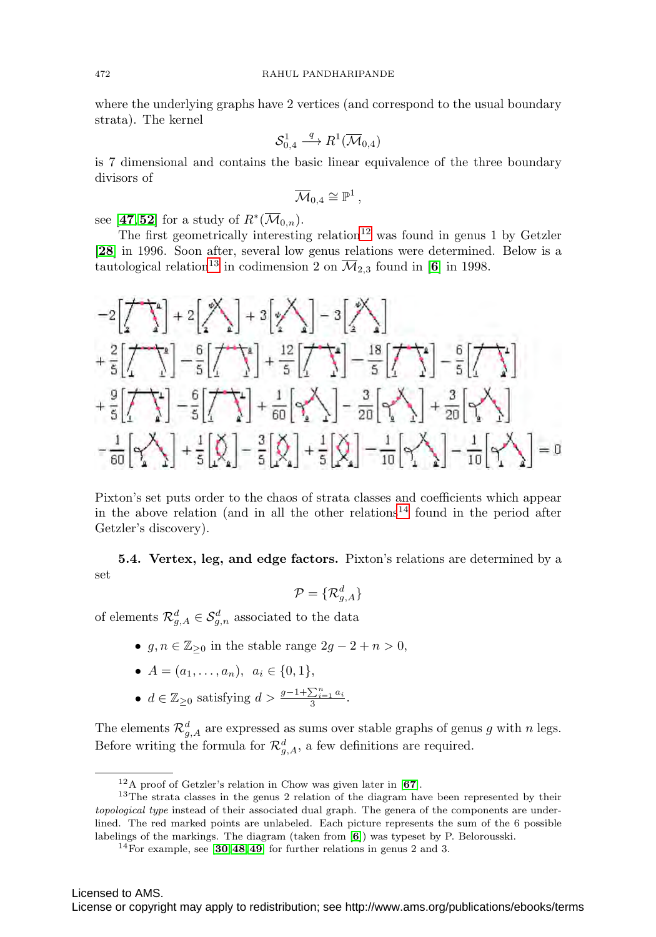where the underlying graphs have 2 vertices (and correspond to the usual boundary strata). The kernel

$$
\mathcal{S}_{0,4}^1 \stackrel{q}{\longrightarrow} R^1(\overline{\mathcal{M}}_{0,4})
$$

is 7 dimensional and contains the basic linear equivalence of the three boundary divisors of

$$
\overline{\mathcal{M}}_{0,4}\cong \mathbb{P}^1\,,
$$

see [[47](#page-27-13),[52](#page-27-14)] for a study of  $R^*(\overline{\mathcal{M}}_{0,n})$ .

The first geometrically interesting relation<sup>[12](#page-13-0)</sup> was found in genus 1 by Getzler [**[28](#page-26-11)**] in 1996. Soon after, several low genus relations were determined. Below is a tautological relation<sup>[13](#page-13-1)</sup> in codimension 2 on  $\overline{\mathcal{M}}_{2,3}$  found in [[6](#page-25-6)] in 1998.

$$
-2\left[\frac{1}{2} + \frac{1}{2}\right] + 2\left[\frac{1}{2}\right] + 3\left[\frac{1}{2}\right] - 3\left[\frac{1}{2}\right] + \frac{1}{2}\left[\frac{1}{2}\right] - \frac{1}{5}\left[\frac{1}{2}\right] - \frac{1}{5}\left[\frac{1}{2}\right] - \frac{1}{5}\left[\frac{1}{2}\right] - \frac{1}{5}\left[\frac{1}{2}\right] - \frac{1}{5}\left[\frac{1}{2}\right] - \frac{1}{5}\left[\frac{1}{2}\right] - \frac{1}{5}\left[\frac{1}{2}\right] + \frac{1}{5}\left[\frac{1}{2}\right] + \frac{1}{5}\left[\frac{1}{2}\right] - \frac{1}{20}\left[\frac{1}{2}\right] - \frac{1}{20}\left[\frac{1}{2}\right] + \frac{1}{20}\left[\frac{1}{2}\right] - \frac{1}{20}\left[\frac{1}{2}\right] - \frac{1}{20}\left[\frac{1}{2}\right] - \frac{1}{10}\left[\frac{1}{2}\right] - \frac{1}{10}\left[\frac{1}{2}\right] - \frac{1}{10}\left[\frac{1}{2}\right] - \frac{1}{10}\left[\frac{1}{2}\right] - \frac{1}{10}\left[\frac{1}{2}\right] - \frac{1}{10}\left[\frac{1}{2}\right] - \frac{1}{10}\left[\frac{1}{2}\right] - \frac{1}{10}\left[\frac{1}{2}\right] - \frac{1}{10}\left[\frac{1}{2}\right] - \frac{1}{10}\left[\frac{1}{2}\right] - \frac{1}{10}\left[\frac{1}{2}\right] - \frac{1}{10}\left[\frac{1}{2}\right] - \frac{1}{10}\left[\frac{1}{2}\right] - \frac{1}{10}\left[\frac{1}{2}\right] - \frac{1}{10}\left[\frac{1}{2}\right] - \frac{1}{10}\left[\frac{1}{2}\right] - \frac{1}{10}\left[\frac{1}{2}\right] - \frac{1}{10}\left[\frac{1}{2}\right] - \frac{1}{10}\left[\frac{1}{2}\right] - \frac{1}{10}\left[\frac{1}{2}\right] - \frac{1}{10}\left[\frac{1}{2}\right] - \frac{1}{10}\left[\frac{1}{2}\right] - \frac
$$

Pixton's set puts order to the chaos of strata classes and coefficients which appear in the above relation (and in all the other relations<sup>[14](#page-13-2)</sup> found in the period after Getzler's discovery).

**5.4. Vertex, leg, and edge factors.** Pixton's relations are determined by a set

$$
\mathcal{P} = \{\mathcal{R}^d_{g,A}\}
$$

of elements  $\mathcal{R}_{g,A}^d \in \mathcal{S}_{g,n}^d$  associated to the data

- $g, n \in \mathbb{Z}_{\geq 0}$  in the stable range  $2g 2 + n > 0$ ,
- $A = (a_1, \ldots, a_n), a_i \in \{0, 1\},\$
- $d \in \mathbb{Z}_{\geq 0}$  satisfying  $d > \frac{g-1+\sum_{i=1}^{n} a_i}{3}$ .

The elements  $\mathcal{R}_{g,A}^d$  are expressed as sums over stable graphs of genus g with n legs. Before writing the formula for  $\mathcal{R}_{g,A}^d$ , a few definitions are required.

<span id="page-13-1"></span><span id="page-13-0"></span><sup>12</sup>A proof of Getzler's relation in Chow was given later in [**[67](#page-28-15)**].

<sup>&</sup>lt;sup>13</sup>The strata classes in the genus 2 relation of the diagram have been represented by their topological type instead of their associated dual graph. The genera of the components are underlined. The red marked points are unlabeled. Each picture represents the sum of the 6 possible labelings of the markings. The diagram (taken from [**[6](#page-25-6)**]) was typeset by P. Belorousski.

<span id="page-13-2"></span><sup>14</sup>For example, see [**[30](#page-26-12)**,**[48](#page-27-15)**,**[49](#page-27-16)**] for further relations in genus 2 and 3.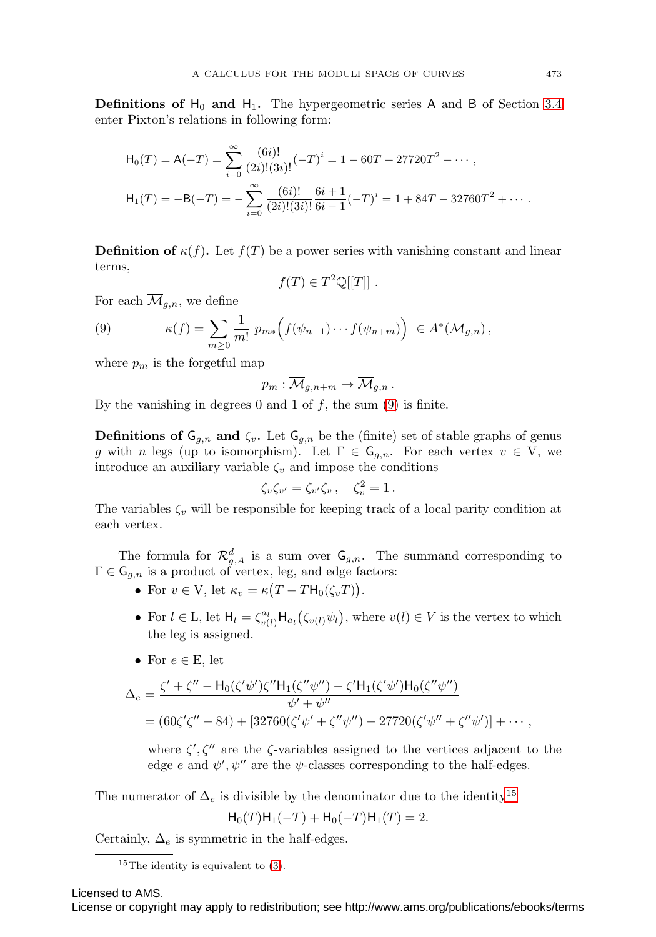**Definitions of**  $H_0$  **and**  $H_1$ **. The hypergeometric series A and B of Section [3.4](#page-5-1)** enter Pixton's relations in following form:

$$
\mathsf{H}_0(T) = \mathsf{A}(-T) = \sum_{i=0}^{\infty} \frac{(6i)!}{(2i)!(3i)!} (-T)^i = 1 - 60T + 27720T^2 - \cdots,
$$
  

$$
\mathsf{H}_1(T) = -\mathsf{B}(-T) = -\sum_{i=0}^{\infty} \frac{(6i)!}{(2i)!(3i)!} \frac{6i+1}{6i-1} (-T)^i = 1 + 84T - 32760T^2 + \cdots.
$$

**Definition of**  $\kappa(f)$ . Let  $f(T)$  be a power series with vanishing constant and linear terms,

 $f(T) \in T^2 \mathbb{Q}[[T]]$ .

For each  $\overline{\mathcal{M}}_{q,n}$ , we define

<span id="page-14-0"></span>(9) 
$$
\kappa(f) = \sum_{m\geq 0} \frac{1}{m!} p_{m*} \left( f(\psi_{n+1}) \cdots f(\psi_{n+m}) \right) \in A^*(\overline{\mathcal{M}}_{g,n}),
$$

where  $p_m$  is the forgetful map

$$
p_m: \overline{\mathcal{M}}_{g,n+m} \to \overline{\mathcal{M}}_{g,n}.
$$

By the vanishing in degrees  $0$  and  $1$  of  $f$ , the sum  $(9)$  is finite.

**Definitions of**  $\mathsf{G}_{g,n}$  **and**  $\zeta_v$ **. Let**  $\mathsf{G}_{g,n}$  **be the (finite) set of stable graphs of genus** g with n legs (up to isomorphism). Let  $\Gamma \in \mathsf{G}_{g,n}$ . For each vertex  $v \in \mathsf{V}$ , we introduce an auxiliary variable  $\zeta_v$  and impose the conditions

$$
\zeta_v \zeta_{v'} = \zeta_{v'} \zeta_v , \quad \zeta_v^2 = 1 .
$$

The variables  $\zeta_v$  will be responsible for keeping track of a local parity condition at each vertex.

The formula for  $\mathcal{R}_{g,A}^d$  is a sum over  $\mathsf{G}_{g,n}$ . The summand corresponding to  $\Gamma \in \mathsf{G}_{g,n}$  is a product of vertex, leg, and edge factors:

- For  $v \in V$ , let  $\kappa_v = \kappa (T TH_0(\zeta_v T))$ .
- For  $l \in L$ , let  $H_l = \zeta_{v(l)}^{a_l} H_{a_l}(\zeta_{v(l)} \psi_l)$ , where  $v(l) \in V$  is the vertex to which the leg is assigned.
- For  $e \in E$ , let

$$
\Delta_e = \frac{\zeta' + \zeta'' - H_0(\zeta'\psi')\zeta''H_1(\zeta''\psi'') - \zeta'H_1(\zeta'\psi')H_0(\zeta''\psi'')}{\psi' + \psi''}
$$
  
=  $(60\zeta'\zeta'' - 84) + [32760(\zeta'\psi' + \zeta''\psi'') - 27720(\zeta'\psi'' + \zeta''\psi')] + \cdots,$ 

where  $\zeta', \zeta''$  are the  $\zeta$ -variables assigned to the vertices adjacent to the edge e and  $\psi', \psi''$  are the  $\psi$ -classes corresponding to the half-edges.

The numerator of  $\Delta_e$  is divisible by the denominator due to the identity<sup>[15](#page-14-1)</sup>

$$
H_0(T)H_1(-T) + H_0(-T)H_1(T) = 2.
$$

Certainly,  $\Delta_e$  is symmetric in the half-edges.

Licensed to AMS.

<span id="page-14-1"></span><sup>&</sup>lt;sup>15</sup>The identity is equivalent to  $(3)$ .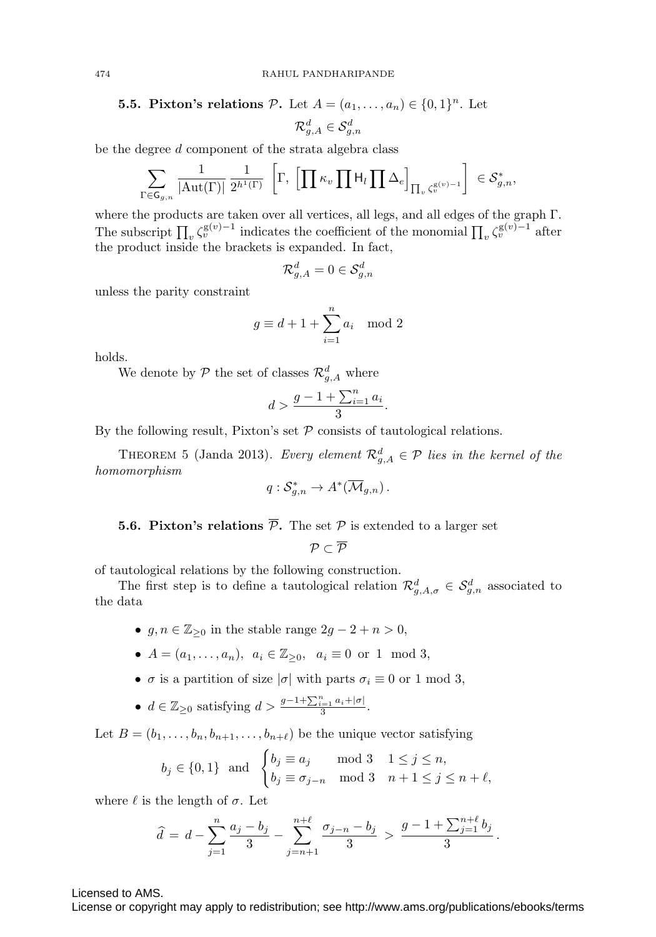# **5.5. Pixton's relations**  $P$ . Let  $A = (a_1, \ldots, a_n) \in \{0, 1\}^n$ . Let  $\mathcal{R}^d_{g,A} \in \mathcal{S}^d_{g,n}$

be the degree d component of the strata algebra class

$$
\sum_{\Gamma \in \mathsf{G}_{g,n}} \frac{1}{|\mathrm{Aut}(\Gamma)|} \frac{1}{2^{h^1(\Gamma)}} \left[ \Gamma, \left[ \prod \kappa_v \prod \mathsf{H}_l \prod \Delta_e \right]_{\prod_v \zeta_v^{\mathrm{g}(v)-1}} \right] \in \mathcal{S}_{g,n}^*,
$$

where the products are taken over all vertices, all legs, and all edges of the graph Γ. The subscript  $\prod_v \zeta_v^{\mathsf{g}(v)-1}$  indicates the coefficient of the monomial  $\prod_v \zeta_v^{\mathsf{g}(v)-1}$  after the product inside the brackets is expanded. In fact,

$$
\mathcal{R}^d_{g,A}=0\in\mathcal{S}^d_{g,n}
$$

unless the parity constraint

$$
g \equiv d + 1 + \sum_{i=1}^{n} a_i \mod 2
$$

holds.

We denote by  $P$  the set of classes  $\mathcal{R}^d_{g,A}$  where

$$
d > \frac{g - 1 + \sum_{i=1}^{n} a_i}{3}.
$$

By the following result, Pixton's set  $P$  consists of tautological relations.

<span id="page-15-0"></span>THEOREM 5 (Janda 2013). Every element  $\mathcal{R}_{g,A}^d \in \mathcal{P}$  lies in the kernel of the homomorphism

$$
q: \mathcal{S}_{g,n}^* \to A^*(\overline{\mathcal{M}}_{g,n})\,.
$$

# <span id="page-15-1"></span>**5.6. Pixton's relations**  $\overline{P}$ **.** The set P is extended to a larger set

 $\mathcal{D} \subset \overline{\mathcal{D}}$ 

of tautological relations by the following construction.

The first step is to define a tautological relation  $\mathcal{R}^d_{g,A,\sigma} \in \mathcal{S}^d_{g,n}$  associated to the data

- $g, n \in \mathbb{Z}_{\geq 0}$  in the stable range  $2g 2 + n > 0$ ,
- $A = (a_1, \ldots, a_n), a_i \in \mathbb{Z}_{\geq 0}, a_i \equiv 0 \text{ or } 1 \mod 3,$
- $\sigma$  is a partition of size  $|\sigma|$  with parts  $\sigma_i \equiv 0$  or 1 mod 3,
- $d \in \mathbb{Z}_{\geq 0}$  satisfying  $d > \frac{g-1+\sum_{i=1}^n a_i+|\sigma|}{3}$ .

Let  $B = (b_1, \ldots, b_n, b_{n+1}, \ldots, b_{n+\ell})$  be the unique vector satisfying

$$
b_j \in \{0, 1\} \text{ and } \begin{cases} b_j \equiv a_j \mod 3 & 1 \le j \le n, \\ b_j \equiv \sigma_{j-n} \mod 3 & n+1 \le j \le n+\ell, \end{cases}
$$

where  $\ell$  is the length of  $\sigma$ . Let

$$
\widehat{d} = d - \sum_{j=1}^{n} \frac{a_j - b_j}{3} - \sum_{j=n+1}^{n+\ell} \frac{\sigma_{j-n} - b_j}{3} > \frac{g - 1 + \sum_{j=1}^{n+\ell} b_j}{3}.
$$

Licensed to AMS.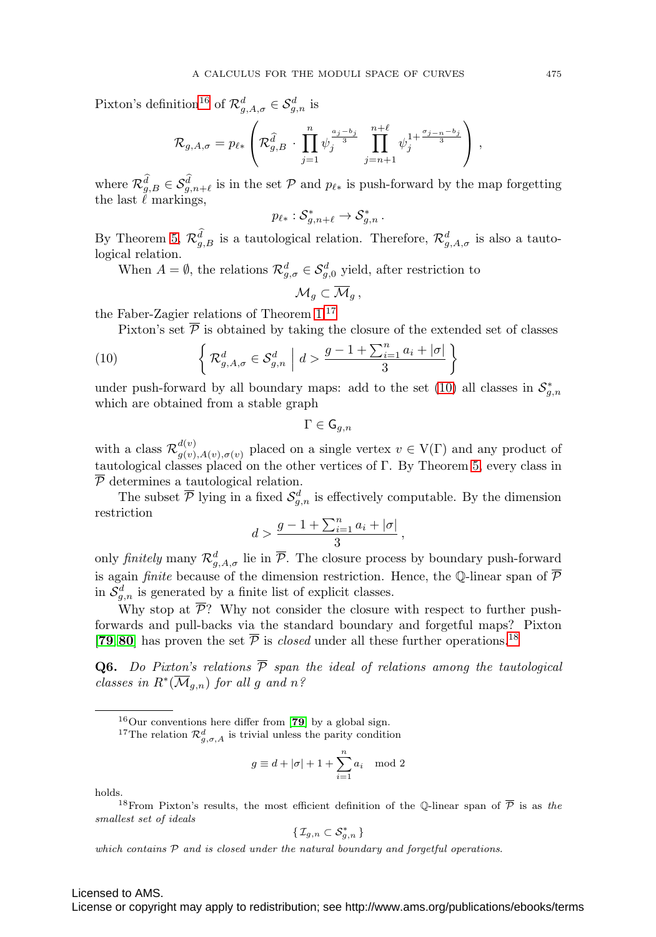Pixton's definition<sup>[16](#page-16-0)</sup> of  $\mathcal{R}^d_{g,A,\sigma} \in \mathcal{S}^d_{g,n}$  is

$$
\mathcal{R}_{g,A,\sigma} = p_{\ell*} \left( \mathcal{R}_{g,B}^{\widehat{d}} \cdot \prod_{j=1}^n \psi_j^{\frac{a_j-b_j}{3}} \prod_{j=n+1}^{n+\ell} \psi_j^{1+\frac{\sigma_{j-n}-b_j}{3}} \right),
$$

where  $\mathcal{R}_{g,B}^d \in \mathcal{S}_{g,n+\ell}^d$  is in the set  $\mathcal P$  and  $p_{\ell *}$  is push-forward by the map forgetting the last  $\ell$  markings,

$$
p_{\ell *} : S_{g,n+\ell}^* \to S_{g,n}^* \, .
$$

By Theorem [5,](#page-15-0)  $\mathcal{R}_{g,B}^d$  is a tautological relation. Therefore,  $\mathcal{R}_{g,A,\sigma}^d$  is also a tautological relation.

When  $A = \emptyset$ , the relations  $\mathcal{R}^d_{g,\sigma} \in \mathcal{S}^d_{g,0}$  yield, after restriction to

$$
\mathcal{M}_g \subset \overline{\mathcal{M}}_g,
$$

the Faber-Zagier relations of Theorem [1.](#page-3-0)[17](#page-16-1)

Pixton's set  $\overline{P}$  is obtained by taking the closure of the extended set of classes

<span id="page-16-2"></span>(10) 
$$
\left\{ \mathcal{R}_{g,A,\sigma}^{d} \in \mathcal{S}_{g,n}^{d} \middle| d > \frac{g-1+\sum_{i=1}^{n} a_i + |\sigma|}{3} \right\}
$$

under push-forward by all boundary maps: add to the set  $(10)$  all classes in  $\mathcal{S}_{g,n}^*$ which are obtained from a stable graph

$$
\Gamma\in\mathsf{G}_{g,n}
$$

with a class  $\mathcal{R}_{g(v),A(v),\sigma(v)}^{d(v)}$  placed on a single vertex  $v \in V(\Gamma)$  and any product of tautological classes placed on the other vertices of Γ. By Theorem [5,](#page-15-0) every class in P determines a tautological relation.

The subset  $\overline{P}$  lying in a fixed  $\mathcal{S}_{g,n}^d$  is effectively computable. By the dimension restriction

$$
d > \frac{g-1+\sum_{i=1}^n a_i+|\sigma|}{3},
$$

only finitely many  $\mathcal{R}^d_{g,A,\sigma}$  lie in  $\overline{\mathcal{P}}$ . The closure process by boundary push-forward is again *finite* because of the dimension restriction. Hence, the Q-linear span of  $\overline{\mathcal{P}}$ in  $\mathcal{S}_{g,n}^d$  is generated by a finite list of explicit classes.

Why stop at  $\overline{\mathcal{P}}$ ? Why not consider the closure with respect to further pushforwards and pull-backs via the standard boundary and forgetful maps? Pixton [**[79](#page-28-4)**, [80](#page-28-12)] has proven the set  $\overline{P}$  is *closed* under all these further operations.<sup>[18](#page-16-3)</sup>

**Q6.** Do Pixton's relations  $\overline{P}$  span the ideal of relations among the tautological classes in  $R^*(\overline{\mathcal{M}}_{q,n})$  for all g and  $n$ ?

$$
g\equiv d+|\sigma|+1+\sum_{i=1}^n a_i\mod 2
$$

holds.

<span id="page-16-3"></span><sup>18</sup>From Pixton's results, the most efficient definition of the Q-linear span of  $\overline{P}$  is as the smallest set of ideals

$$
\{\, \mathcal{I}_{g,n} \subset \mathcal{S}_{g,n}^* \,\}
$$

which contains  $P$  and is closed under the natural boundary and forgetful operations.

<sup>16</sup>Our conventions here differ from [**[79](#page-28-4)**] by a global sign.

<span id="page-16-1"></span><span id="page-16-0"></span><sup>&</sup>lt;sup>17</sup>The relation  $\mathcal{R}^d_{g,\sigma,A}$  is trivial unless the parity condition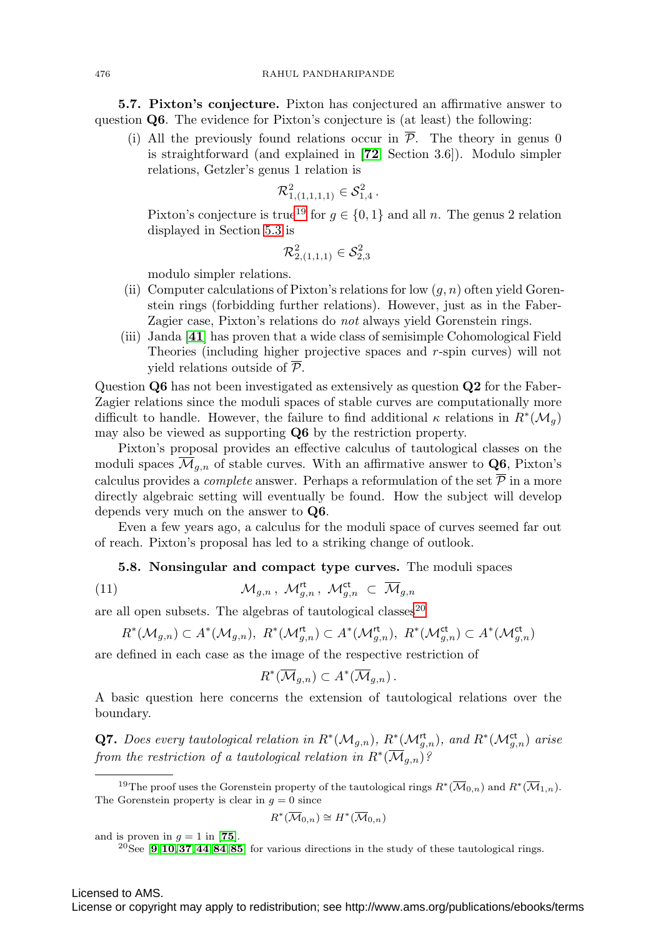**5.7. Pixton's conjecture.** Pixton has conjectured an affirmative answer to question **Q6**. The evidence for Pixton's conjecture is (at least) the following:

(i) All the previously found relations occur in  $\overline{P}$ . The theory in genus 0 is straightforward (and explained in [**[72](#page-28-5)**, Section 3.6]). Modulo simpler relations, Getzler's genus 1 relation is

$$
\mathcal{R}_{1,(1,1,1,1)}^2 \in \mathcal{S}_{1,4}^2 \, .
$$

Pixton's conjecture is true<sup>[19](#page-17-1)</sup> for  $q \in \{0, 1\}$  and all n. The genus 2 relation displayed in Section [5.3](#page-12-0) is

$$
\mathcal{R}_{2,(1,1,1)}^2\in\mathcal{S}_{2,3}^2
$$

modulo simpler relations.

- (ii) Computer calculations of Pixton's relations for low  $(g, n)$  often yield Gorenstein rings (forbidding further relations). However, just as in the Faber-Zagier case, Pixton's relations do *not* always yield Gorenstein rings.
- (iii) Janda [**[41](#page-27-12)**] has proven that a wide class of semisimple Cohomological Field Theories (including higher projective spaces and r-spin curves) will not yield relations outside of  $\overline{P}$ .

Question **Q6** has not been investigated as extensively as question **Q2** for the Faber-Zagier relations since the moduli spaces of stable curves are computationally more difficult to handle. However, the failure to find additional  $\kappa$  relations in  $R^*(\mathcal{M}_q)$ may also be viewed as supporting **Q6** by the restriction property.

Pixton's proposal provides an effective calculus of tautological classes on the moduli spaces  $\overline{\mathcal{M}}_{g,n}$  of stable curves. With an affirmative answer to **Q6**, Pixton's calculus provides a *complete* answer. Perhaps a reformulation of the set  $\overline{P}$  in a more directly algebraic setting will eventually be found. How the subject will develop depends very much on the answer to **Q6**.

<span id="page-17-0"></span>Even a few years ago, a calculus for the moduli space of curves seemed far out of reach. Pixton's proposal has led to a striking change of outlook.

### **5.8. Nonsingular and compact type curves.** The moduli spaces

<span id="page-17-3"></span>(11) 
$$
\mathcal{M}_{g,n}, \mathcal{M}_{g,n}^{\mathsf{rt}}, \mathcal{M}_{g,n}^{\mathsf{ct}} \subset \overline{\mathcal{M}}_{g,n}
$$

are all open subsets. The algebras of tautological classes<sup>[20](#page-17-2)</sup>

$$
R^*(\mathcal{M}_{g,n}) \subset A^*(\mathcal{M}_{g,n}), \ R^*(\mathcal{M}_{g,n}^{\mathsf{rt}}) \subset A^*(\mathcal{M}_{g,n}^{\mathsf{rt}}), \ R^*(\mathcal{M}_{g,n}^{\mathsf{ct}}) \subset A^*(\mathcal{M}_{g,n}^{\mathsf{ct}})
$$

are defined in each case as the image of the respective restriction of

$$
R^*(\overline{\mathcal{M}}_{g,n}) \subset A^*(\overline{\mathcal{M}}_{g,n}).
$$

A basic question here concerns the extension of tautological relations over the boundary.

**Q7.** Does every tautological relation in  $R^*(\mathcal{M}_{g,n})$ ,  $R^*(\mathcal{M}_{g,n}^{\mathsf{rt}})$ , and  $R^*(\mathcal{M}_{g,n}^{\mathsf{ct}})$  arise from the restriction of a tautological relation in  $R^*(\overline{\mathcal{M}}_{q,n})$ ?

$$
R^*(\overline{\mathcal{M}}_{0,n}) \cong H^*(\overline{\mathcal{M}}_{0,n})
$$

and is proven in  $q = 1$  in [[75](#page-28-16)].

<span id="page-17-2"></span><sup>20</sup>See [**[9](#page-25-7)**,**[10](#page-25-8)**,**[37](#page-26-13)**,**[44](#page-27-17)**,**[84](#page-28-17)**,**[85](#page-28-18)**] for various directions in the study of these tautological rings.

Licensed to AMS.

<span id="page-17-1"></span><sup>&</sup>lt;sup>19</sup>The proof uses the Gorenstein property of the tautological rings  $R^*(\overline{\mathcal{M}}_{0,n})$  and  $R^*(\overline{\mathcal{M}}_{1,n})$ . The Gorenstein property is clear in  $q = 0$  since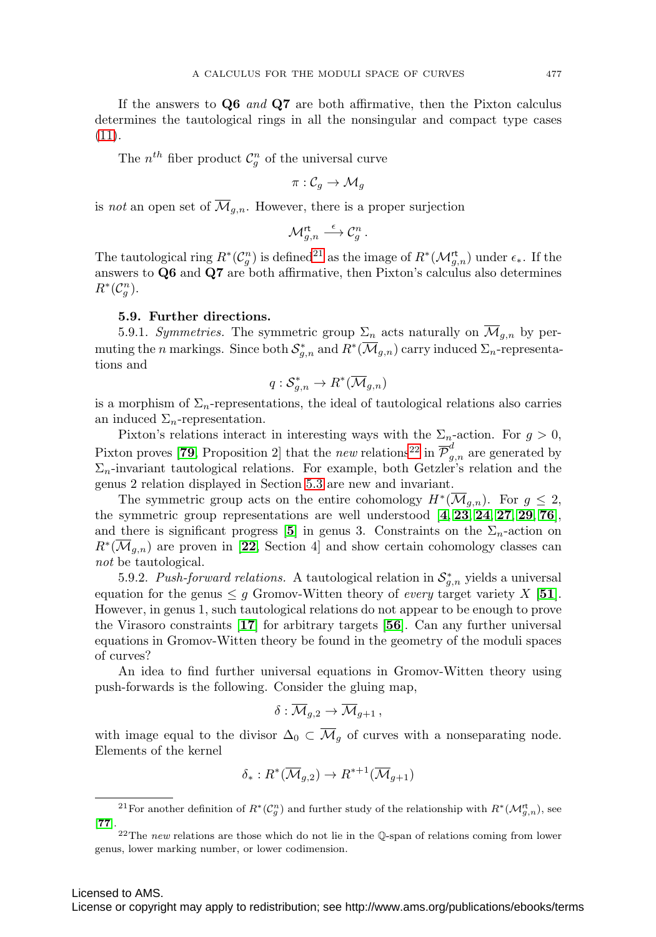If the answers to **Q6** and **Q7** are both affirmative, then the Pixton calculus determines the tautological rings in all the nonsingular and compact type cases  $(11).$  $(11).$ 

The  $n^{th}$  fiber product  $\mathcal{C}_g^n$  of the universal curve

$$
\pi:\mathcal{C}_g\rightarrow \mathcal{M}_g
$$

is not an open set of  $\overline{\mathcal{M}}_{g,n}$ . However, there is a proper surjection

$$
{\mathcal{M}}_{g,n}^{\mathsf{rt}} \stackrel{\epsilon}{\longrightarrow} \mathcal{C}_g^n \ .
$$

The tautological ring  $R^*(\mathcal{C}_g^n)$  is defined<sup>[21](#page-18-0)</sup> as the image of  $R^*(\mathcal{M}_{g,n}^{\mathsf{rt}})$  under  $\epsilon_*$ . If the answers to **Q6** and **Q7** are both affirmative, then Pixton's calculus also determines  $R^*(\mathcal{C}_g^n).$ 

#### **5.9. Further directions.**

5.9.1. Symmetries. The symmetric group  $\Sigma_n$  acts naturally on  $\overline{\mathcal{M}}_{g,n}$  by permuting the n markings. Since both  $\mathcal{S}_{g,n}^*$  and  $R^*(\overline{\mathcal{M}}_{g,n})$  carry induced  $\Sigma_n$ -representations and

$$
q: \mathcal{S}_{g,n}^* \to R^*(\overline{\mathcal{M}}_{g,n})
$$

is a morphism of  $\Sigma_n$ -representations, the ideal of tautological relations also carries an induced  $\Sigma_n$ -representation.

Pixton's relations interact in interesting ways with the  $\Sigma_n$ -action. For  $g > 0$ , Pixton proves [[79](#page-28-4), Proposition 2] that the *new* relations<sup>[22](#page-18-1)</sup> in  $\overline{\mathcal{P}}_{g,n}^d$  are generated by  $\Sigma_n$ -invariant tautological relations. For example, both Getzler's relation and the genus 2 relation displayed in Section [5.3](#page-12-0) are new and invariant.

The symmetric group acts on the entire cohomology  $H^*(\overline{\mathcal{M}}_{g,n})$ . For  $g \leq 2$ , the symmetric group representations are well understood [**[4](#page-25-9)**, **[23](#page-26-14)**, **[24](#page-26-15)**, **[27](#page-26-16)**, **[29](#page-26-17)**, **[76](#page-28-19)**], and there is significant progress [[5](#page-25-10)] in genus 3. Constraints on the  $\Sigma_n$ -action on  $R^*(\mathcal{M}_{q,n})$  are proven in [[22](#page-26-10), Section 4] and show certain cohomology classes can not be tautological.

5.9.2. Push-forward relations. A tautological relation in  $\mathcal{S}_{g,n}^*$  yields a universal equation for the genus  $\leq g$  Gromov-Witten theory of *every* target variety X [[51](#page-27-18)]. However, in genus 1, such tautological relations do not appear to be enough to prove the Virasoro constraints [**[17](#page-26-18)**] for arbitrary targets [**[56](#page-27-19)**]. Can any further universal equations in Gromov-Witten theory be found in the geometry of the moduli spaces of curves?

An idea to find further universal equations in Gromov-Witten theory using push-forwards is the following. Consider the gluing map,

$$
\delta: \mathcal{M}_{g,2} \to \mathcal{M}_{g+1},
$$

with image equal to the divisor  $\Delta_0 \subset \overline{\mathcal{M}}_q$  of curves with a nonseparating node. Elements of the kernel

$$
\delta_*: R^*(\overline{\mathcal{M}}_{g,2}) \to R^{*+1}(\overline{\mathcal{M}}_{g+1})
$$

<span id="page-18-0"></span><sup>&</sup>lt;sup>21</sup> For another definition of  $R^*(\mathcal{C}_g^n)$  and further study of the relationship with  $R^*(\mathcal{M}_{g,n}^{\text{rt}})$ , see [**[77](#page-28-20)**].

<span id="page-18-1"></span><sup>&</sup>lt;sup>22</sup>The new relations are those which do not lie in the Q-span of relations coming from lower genus, lower marking number, or lower codimension.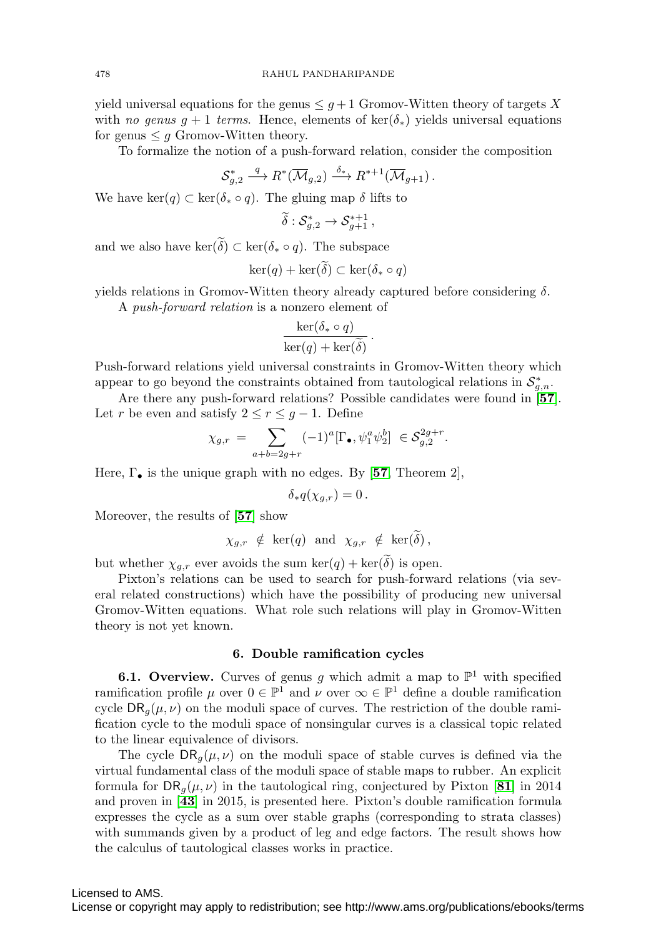yield universal equations for the genus  $\leq g+1$  Gromov-Witten theory of targets X with no genus  $g + 1$  terms. Hence, elements of ker( $\delta_*$ ) yields universal equations for genus  $\leq q$  Gromov-Witten theory.

To formalize the notion of a push-forward relation, consider the composition

$$
\mathcal{S}_{g,2}^* \stackrel{q}{\longrightarrow} R^*(\overline{\mathcal{M}}_{g,2}) \stackrel{\delta_*}{\longrightarrow} R^{*+1}(\overline{\mathcal{M}}_{g+1}).
$$

We have ker(q)  $\subset \text{ker}(\delta_* \circ q)$ . The gluing map  $\delta$  lifts to

$$
\widetilde{\delta}: \mathcal{S}_{g,2}^* \to \mathcal{S}_{g+1}^{*+1},
$$

and we also have  $\ker(\delta) \subset \ker(\delta_* \circ q)$ . The subspace

$$
\ker(q) + \ker(\delta) \subset \ker(\delta_* \circ q)
$$

yields relations in Gromov-Witten theory already captured before considering  $\delta$ .

A push-forward relation is a nonzero element of

$$
\frac{\ker(\delta_* \circ q)}{\ker(q) + \ker(\widetilde{\delta})}.
$$

Push-forward relations yield universal constraints in Gromov-Witten theory which appear to go beyond the constraints obtained from tautological relations in  $\mathcal{S}_{g,n}^*$ .

Are there any push-forward relations? Possible candidates were found in [**[57](#page-27-20)**]. Let r be even and satisfy  $2 \le r \le g-1$ . Define

$$
\chi_{g,r} = \sum_{a+b=2g+r} (-1)^a [\Gamma_{\bullet}, \psi_1^a \psi_2^b] \in \mathcal{S}_{g,2}^{2g+r}.
$$

Here,  $\Gamma_{\bullet}$  is the unique graph with no edges. By [[57](#page-27-20), Theorem 2],

$$
\delta_* q(\chi_{g,r}) = 0.
$$

Moreover, the results of [**[57](#page-27-20)**] show

$$
\chi_{g,r} \notin \ker(q) \text{ and } \chi_{g,r} \notin \ker(\delta),
$$

but whether  $\chi_{g,r}$  ever avoids the sum ker(q) + ker( $\delta$ ) is open.

Pixton's relations can be used to search for push-forward relations (via several related constructions) which have the possibility of producing new universal Gromov-Witten equations. What role such relations will play in Gromov-Witten theory is not yet known.

## **6. Double ramification cycles**

**6.1. Overview.** Curves of genus g which admit a map to  $\mathbb{P}^1$  with specified ramification profile  $\mu$  over  $0 \in \mathbb{P}^1$  and  $\nu$  over  $\infty \in \mathbb{P}^1$  define a double ramification cycle  $\text{DR}_q(\mu, \nu)$  on the moduli space of curves. The restriction of the double ramification cycle to the moduli space of nonsingular curves is a classical topic related to the linear equivalence of divisors.

The cycle  $DR_{q}(\mu, \nu)$  on the moduli space of stable curves is defined via the virtual fundamental class of the moduli space of stable maps to rubber. An explicit formula for  $\text{DR}_q(\mu, \nu)$  in the tautological ring, conjectured by Pixton [[81](#page-28-21)] in 2014 and proven in [**[43](#page-27-21)**] in 2015, is presented here. Pixton's double ramification formula expresses the cycle as a sum over stable graphs (corresponding to strata classes) with summands given by a product of leg and edge factors. The result shows how the calculus of tautological classes works in practice.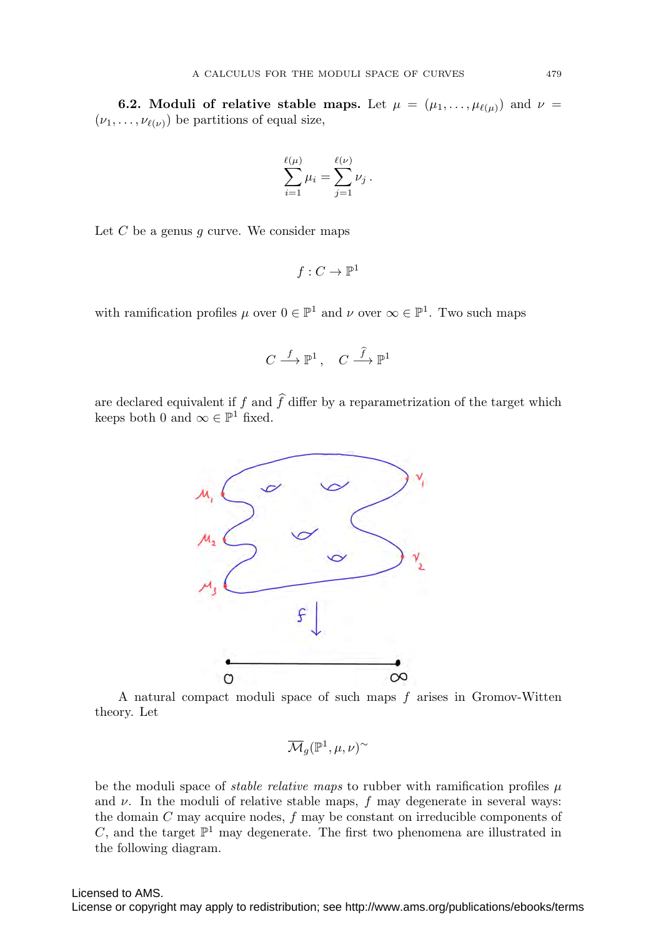**6.2. Moduli of relative stable maps.** Let  $\mu = (\mu_1, \ldots, \mu_{\ell(\mu)})$  and  $\nu =$  $(\nu_1,\ldots,\nu_{\ell(\nu)})$  be partitions of equal size,

$$
\sum_{i=1}^{\ell(\mu)} \mu_i = \sum_{j=1}^{\ell(\nu)} \nu_j.
$$

Let  $C$  be a genus  $g$  curve. We consider maps

$$
f:C\to \mathbb{P}^1
$$

with ramification profiles  $\mu$  over  $0 \in \mathbb{P}^1$  and  $\nu$  over  $\infty \in \mathbb{P}^1$ . Two such maps

$$
C \stackrel{f}{\longrightarrow} \mathbb{P}^1\,, \quad C \stackrel{\widehat{f}}{\longrightarrow} \mathbb{P}^1
$$

are declared equivalent if  $f$  and  $f$  differ by a reparametrization of the target which keeps both 0 and  $\infty \in \mathbb{P}^1$  fixed.



A natural compact moduli space of such maps  $f$  arises in Gromov-Witten theory. Let

$$
\overline{\mathcal{M}}_g({\mathbb P}^1,\mu,\nu)^\sim
$$

be the moduli space of *stable relative maps* to rubber with ramification profiles  $\mu$ and  $\nu$ . In the moduli of relative stable maps, f may degenerate in several ways: the domain  $C$  may acquire nodes,  $f$  may be constant on irreducible components of C, and the target  $\mathbb{P}^1$  may degenerate. The first two phenomena are illustrated in the following diagram.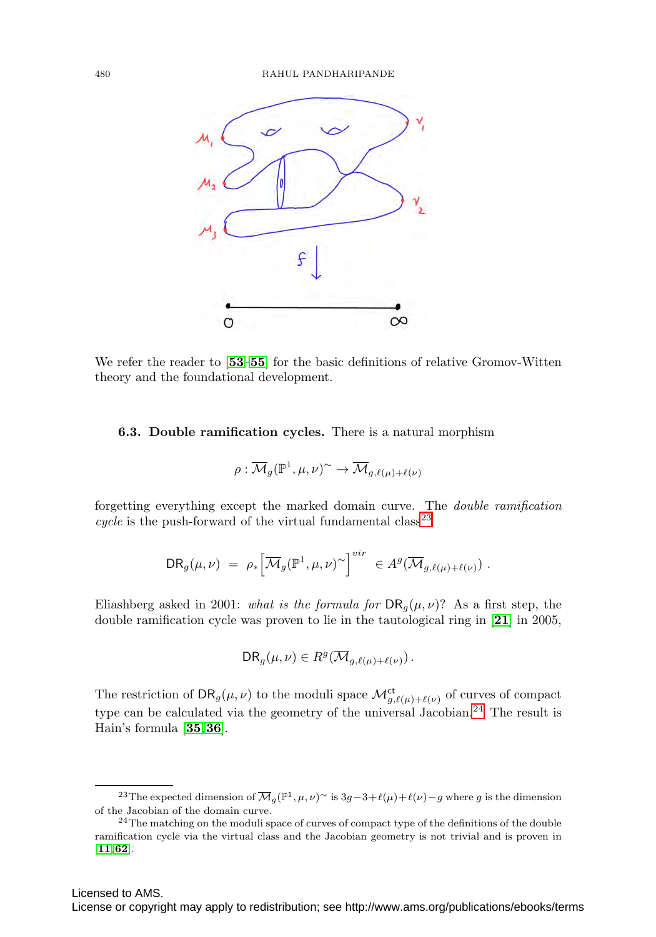

We refer the reader to [**[53](#page-27-22)**–**[55](#page-27-23)**] for the basic definitions of relative Gromov-Witten theory and the foundational development.

## **6.3. Double ramification cycles.** There is a natural morphism

$$
\rho: \overline{\mathcal{M}}_g(\mathbb{P}^1, \mu, \nu)^\sim \to \overline{\mathcal{M}}_{g, \ell(\mu) + \ell(\nu)}
$$

forgetting everything except the marked domain curve. The double ramification cycle is the push-forward of the virtual fundamental class<sup>[23](#page-21-0)</sup>

$$
\mathsf{DR}_g(\mu,\nu) = \rho_* \Big[\overline{\mathcal{M}}_g(\mathbb{P}^1,\mu,\nu)^\sim\Big]^{vir} \in A^g(\overline{\mathcal{M}}_{g,\ell(\mu)+\ell(\nu)}) .
$$

Eliashberg asked in 2001: what is the formula for  $\text{DR}_q(\mu, \nu)$ ? As a first step, the double ramification cycle was proven to lie in the tautological ring in [**[21](#page-26-6)**] in 2005,

$$
DR_g(\mu,\nu) \in R^g(\overline{\mathcal{M}}_{g,\ell(\mu)+\ell(\nu)})\,.
$$

The restriction of  $\text{DR}_g(\mu, \nu)$  to the moduli space  $\mathcal{M}^{\text{ct}}_{g,\ell(\mu)+\ell(\nu)}$  of curves of compact type can be calculated via the geometry of the universal Jacobian.<sup>[24](#page-21-1)</sup> The result is Hain's formula [**[35](#page-26-19)**,**[36](#page-26-20)**].

<span id="page-21-0"></span><sup>&</sup>lt;sup>23</sup>The expected dimension of  $\overline{\mathcal{M}}_g(\mathbb{P}^1,\mu,\nu)$ <sup>~</sup> is 3g−3+l( $\mu$ )+l( $\nu$ )−g where g is the dimension of the Jacobian of the domain curve.

<span id="page-21-1"></span><sup>&</sup>lt;sup>24</sup>The matching on the moduli space of curves of compact type of the definitions of the double ramification cycle via the virtual class and the Jacobian geometry is not trivial and is proven in [**[11](#page-25-11)**,**[62](#page-27-24)**].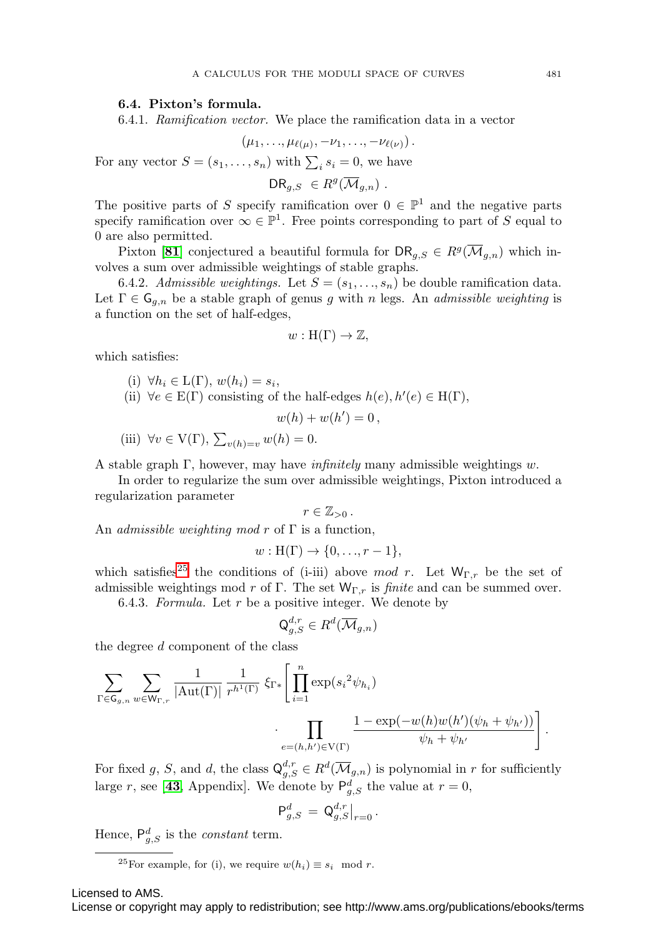### **6.4. Pixton's formula.**

6.4.1. Ramification vector. We place the ramification data in a vector

$$
(\mu_1,\ldots,\mu_{\ell(\mu)},-\nu_1,\ldots,-\nu_{\ell(\nu)}).
$$

For any vector  $S = (s_1, \ldots, s_n)$  with  $\sum_i s_i = 0$ , we have

$$
\mathsf{DR}_{g,S} \in R^g(\overline{\mathcal{M}}_{g,n}) \ .
$$

The positive parts of S specify ramification over  $0 \in \mathbb{P}^1$  and the negative parts specify ramification over  $\infty \in \mathbb{P}^1$ . Free points corresponding to part of S equal to 0 are also permitted.

Pixton [[81](#page-28-21)] conjectured a beautiful formula for  $\text{DR}_{q,S} \in R^g(\overline{\mathcal{M}}_{q,n})$  which involves a sum over admissible weightings of stable graphs.

6.4.2. Admissible weightings. Let  $S = (s_1, \ldots, s_n)$  be double ramification data. Let  $\Gamma \in \mathsf{G}_{g,n}$  be a stable graph of genus g with n legs. An admissible weighting is a function on the set of half-edges,

$$
w: H(\Gamma) \to \mathbb{Z},
$$

which satisfies:

(i) 
$$
\forall h_i \in L(\Gamma), w(h_i) = s_i,
$$

(ii)  $\forall e \in E(\Gamma)$  consisting of the half-edges  $h(e), h'(e) \in H(\Gamma)$ ,

$$
w(h) + w(h') = 0,
$$

(iii) 
$$
\forall v \in V(\Gamma), \sum_{v(h)=v} w(h) = 0.
$$

A stable graph  $\Gamma$ , however, may have *infinitely* many admissible weightings w.

In order to regularize the sum over admissible weightings, Pixton introduced a regularization parameter

$$
r\in\mathbb{Z}_{>0}.
$$

An *admissible weighting mod r* of  $\Gamma$  is a function,

$$
w: H(\Gamma) \to \{0, \ldots, r-1\},\
$$

which satisfies<sup>[25](#page-22-0)</sup> the conditions of (i-iii) above mod r. Let  $W_{\Gamma,r}$  be the set of admissible weightings mod r of Γ. The set  $W_{\Gamma,r}$  is *finite* and can be summed over.

6.4.3. *Formula.* Let 
$$
r
$$
 be a positive integer. We denote by

$$
\mathsf{Q}_{g,S}^{d,r} \in R^d(\overline{\mathcal{M}}_{g,n})
$$

the degree  $d$  component of the class

$$
\sum_{\Gamma \in \mathsf{G}_{g,n}} \sum_{w \in \mathsf{W}_{\Gamma,r}} \frac{1}{|\mathrm{Aut}(\Gamma)|} \frac{1}{r^{h^1(\Gamma)}} \, \xi_{\Gamma*} \Bigg[ \prod_{i=1}^n \exp(s_i^2 \psi_{h_i}) \cdot \prod_{e=(h,h') \in \mathrm{V}(\Gamma)} \frac{1 - \exp(-w(h)w(h')(\psi_h + \psi_{h'}))}{\psi_h + \psi_{h'}} \Bigg].
$$

For fixed g, S, and d, the class  $\mathsf{Q}_{g,S}^{d,r} \in R^d(\overline{\mathcal{M}}_{g,n})$  is polynomial in r for sufficiently large r, see [[43](#page-27-21), Appendix]. We denote by  $P_{g,S}^d$  the value at  $r=0$ ,

$$
\mathsf{P}^d_{g,S} \, = \, \mathsf{Q}^{d,r}_{g,S}\big|_{r=0} \, .
$$

Hence,  $P_{g,S}^d$  is the *constant* term.

Licensed to AMS.

<span id="page-22-0"></span><sup>&</sup>lt;sup>25</sup>For example, for (i), we require  $w(h_i) \equiv s_i \mod r$ .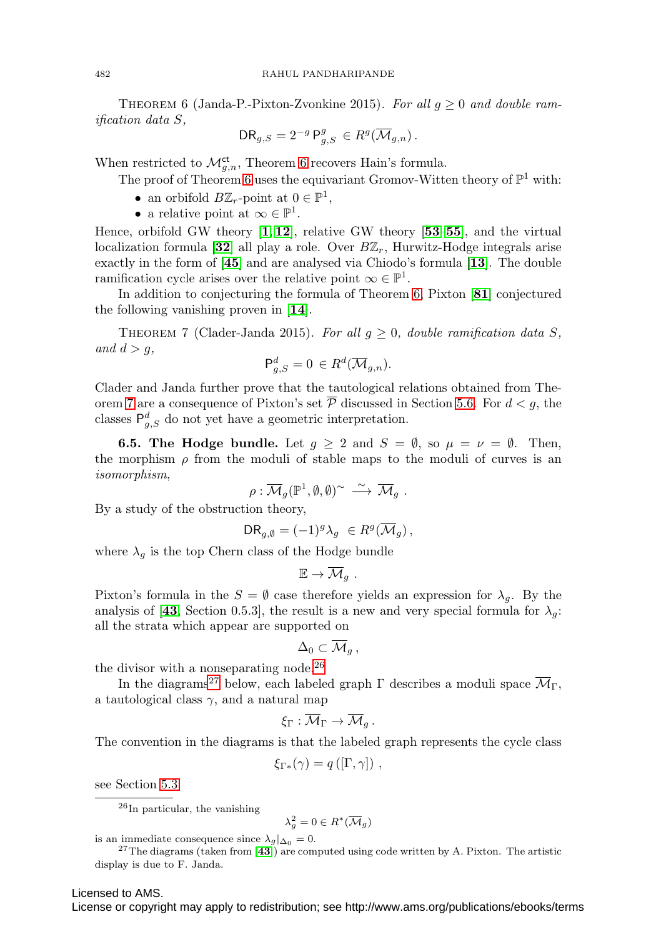<span id="page-23-0"></span>THEOREM 6 (Janda-P.-Pixton-Zvonkine 2015). For all  $g \geq 0$  and double ramification data S,

$$
\mathsf{DR}_{g,S} = 2^{-g} \mathsf{P}^g_{g,S} \in R^g(\overline{\mathcal{M}}_{g,n}).
$$

When restricted to  $\mathcal{M}_{g,n}^{\mathrm{ct}}$ , Theorem [6](#page-23-0) recovers Hain's formula.

The proof of Theorem [6](#page-23-0) uses the equivariant Gromov-Witten theory of  $\mathbb{P}^1$  with:

- an orbifold  $B\mathbb{Z}_r$ -point at  $0 \in \mathbb{P}^1$ ,
- a relative point at  $\infty \in \mathbb{P}^1$ .

Hence, orbifold GW theory [**[1](#page-25-12)**, **[12](#page-25-13)**], relative GW theory [**[53](#page-27-22)**–**[55](#page-27-23)**], and the virtual localization formula  $[32]$  $[32]$  $[32]$  all play a role. Over  $B\mathbb{Z}_r$ , Hurwitz-Hodge integrals arise exactly in the form of [**[45](#page-27-25)**] and are analysed via Chiodo's formula [**[13](#page-25-14)**]. The double ramification cycle arises over the relative point  $\infty \in \mathbb{P}^1$ .

In addition to conjecturing the formula of Theorem [6,](#page-23-0) Pixton [**[81](#page-28-21)**] conjectured the following vanishing proven in [**[14](#page-25-15)**].

<span id="page-23-1"></span>THEOREM 7 (Clader-Janda 2015). For all  $g \geq 0$ , double ramification data S, and  $d>g$ ,

$$
\mathsf{P}^d_{g,S} = 0 \in R^d(\overline{\mathcal{M}}_{g,n}).
$$

Clader and Janda further prove that the tautological relations obtained from The-orem [7](#page-23-1) are a consequence of Pixton's set  $\overline{P}$  discussed in Section [5.6.](#page-15-1) For  $d < g$ , the classes  $P_{g,S}^d$  do not yet have a geometric interpretation.

**6.5. The Hodge bundle.** Let  $g \geq 2$  and  $S = \emptyset$ , so  $\mu = \nu = \emptyset$ . Then, the morphism  $\rho$  from the moduli of stable maps to the moduli of curves is an isomorphism,

$$
\rho: \overline{\mathcal{M}}_g(\mathbb{P}^1, \emptyset, \emptyset)^{\sim} \stackrel{\sim}{\longrightarrow} \overline{\mathcal{M}}_g.
$$

By a study of the obstruction theory,

$$
\mathrm{DR}_{g,\emptyset} = (-1)^g \lambda_g \ \in R^g(\overline{\mathcal{M}}_g) \,,
$$

where  $\lambda_g$  is the top Chern class of the Hodge bundle

$$
\mathbb{E}\to \overline{\mathcal{M}}_g\ .
$$

Pixton's formula in the  $S = \emptyset$  case therefore yields an expression for  $\lambda_g$ . By the analysis of [[43](#page-27-21), Section 0.5.3], the result is a new and very special formula for  $\lambda_g$ : all the strata which appear are supported on

$$
\Delta_0\subset \overline{\mathcal{M}}_g\,,
$$

the divisor with a nonseparating node.[26](#page-23-2)

In the diagrams<sup>[27](#page-23-3)</sup> below, each labeled graph  $\Gamma$  describes a moduli space  $\overline{\mathcal{M}}_{\Gamma}$ , a tautological class  $\gamma$ , and a natural map

$$
\xi_\Gamma:\overline{\mathcal{M}}_\Gamma\to\overline{\mathcal{M}}_g\,.
$$

The convention in the diagrams is that the labeled graph represents the cycle class

$$
\xi_{\Gamma*}(\gamma) = q([\Gamma, \gamma]) ,
$$

see Section [5.3.](#page-12-0)

<span id="page-23-2"></span> $^{26}$ In particular, the vanishing

$$
\lambda_g^2 = 0 \in R^*(\overline{\mathcal{M}}_g)
$$

<span id="page-23-3"></span>

is an immediate consequence since  $\lambda_g|_{\Delta_0} = 0$ .<br><sup>27</sup>The diagrams (taken from [**[43](#page-27-21)**]) are computed using code written by A. Pixton. The artistic display is due to F. Janda.

#### Licensed to AMS.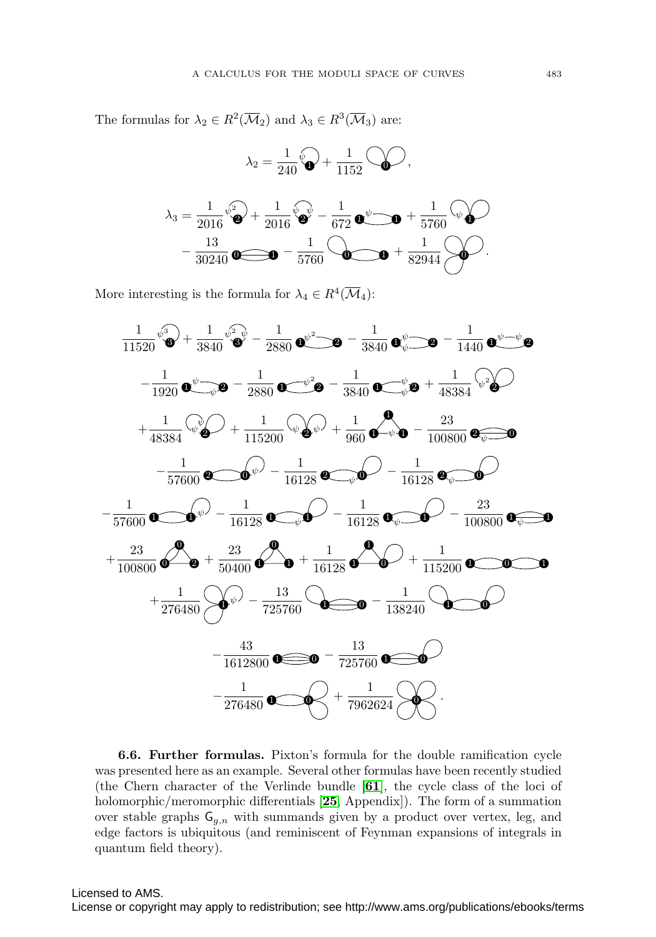The formulas for  $\lambda_2 \in R^2(\overline{\mathcal{M}}_2)$  and  $\lambda_3 \in R^3(\overline{\mathcal{M}}_3)$  are:

$$
\lambda_2 = \frac{1}{240} \sqrt[6]{\bullet} + \frac{1}{1152} \sqrt[6]{\bullet},
$$
\n
$$
\lambda_3 = \frac{1}{2016} \sqrt[6]{\bullet} + \frac{1}{2016} \sqrt[6]{\bullet} - \frac{1}{672} \text{ or } \sqrt[6]{\bullet} - \frac{1}{5760} \sqrt[6]{\bullet} - \frac{13}{30240} \text{ or } -\frac{1}{5760} \sqrt[6]{\bullet} - \frac{1}{5760} \sqrt[6]{\bullet} - \frac{1}{5760} \sqrt[6]{\bullet} - \frac{1}{52944} \sqrt[6]{\bullet}.
$$

More interesting is the formula for  $\lambda_4 \in R^4(\overline{\mathcal{M}}_4)$ :



**6.6. Further formulas.** Pixton's formula for the double ramification cycle was presented here as an example. Several other formulas have been recently studied (the Chern character of the Verlinde bundle [**[61](#page-27-26)**], the cycle class of the loci of holomorphic/meromorphic differentials [**[25](#page-26-21)**, Appendix]). The form of a summation over stable graphs  $\mathsf{G}_{g,n}$  with summands given by a product over vertex, leg, and edge factors is ubiquitous (and reminiscent of Feynman expansions of integrals in quantum field theory).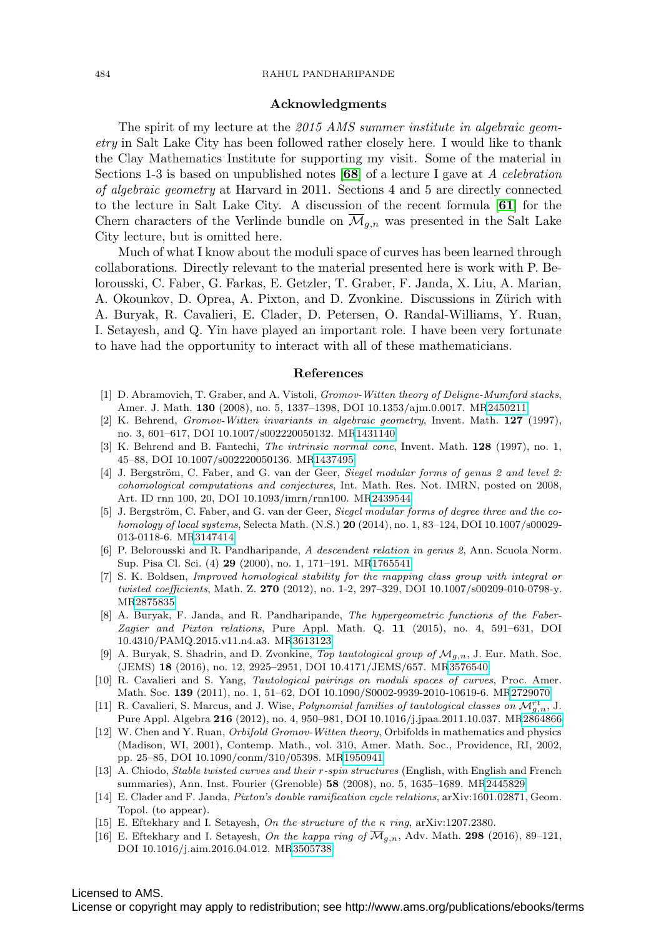#### 484 RAHUL PANDHARIPANDE

#### **Acknowledgments**

The spirit of my lecture at the 2015 AMS summer institute in algebraic geometry in Salt Lake City has been followed rather closely here. I would like to thank the Clay Mathematics Institute for supporting my visit. Some of the material in Sections 1-3 is based on unpublished notes [**[68](#page-28-22)**] of a lecture I gave at A celebration of algebraic geometry at Harvard in 2011. Sections 4 and 5 are directly connected to the lecture in Salt Lake City. A discussion of the recent formula [**[61](#page-27-26)**] for the Chern characters of the Verlinde bundle on  $\overline{\mathcal{M}}_{g,n}$  was presented in the Salt Lake City lecture, but is omitted here.

Much of what I know about the moduli space of curves has been learned through collaborations. Directly relevant to the material presented here is work with P. Belorousski, C. Faber, G. Farkas, E. Getzler, T. Graber, F. Janda, X. Liu, A. Marian, A. Okounkov, D. Oprea, A. Pixton, and D. Zvonkine. Discussions in Zürich with A. Buryak, R. Cavalieri, E. Clader, D. Petersen, O. Randal-Williams, Y. Ruan, I. Setayesh, and Q. Yin have played an important role. I have been very fortunate to have had the opportunity to interact with all of these mathematicians.

#### **References**

- <span id="page-25-12"></span>[1] D. Abramovich, T. Graber, and A. Vistoli, Gromov-Witten theory of Deligne-Mumford stacks, Amer. J. Math. **130** (2008), no. 5, 1337–1398, DOI 10.1353/ajm.0.0017. M[R2450211](http://www.ams.org/mathscinet-getitem?mr=2450211)
- <span id="page-25-0"></span>[2] K. Behrend, Gromov-Witten invariants in algebraic geometry, Invent. Math. **127** (1997), no. 3, 601–617, DOI 10.1007/s002220050132. M[R1431140](http://www.ams.org/mathscinet-getitem?mr=1431140)
- <span id="page-25-1"></span>[3] K. Behrend and B. Fantechi, The intrinsic normal cone, Invent. Math. **128** (1997), no. 1, 45–88, DOI 10.1007/s002220050136. M[R1437495](http://www.ams.org/mathscinet-getitem?mr=1437495)
- <span id="page-25-9"></span>[4] J. Bergström, C. Faber, and G. van der Geer, Siegel modular forms of genus 2 and level 2: cohomological computations and conjectures, Int. Math. Res. Not. IMRN, posted on 2008, Art. ID rnn 100, 20, DOI 10.1093/imrn/rnn100. M[R2439544](http://www.ams.org/mathscinet-getitem?mr=2439544)
- <span id="page-25-10"></span>[5] J. Bergström, C. Faber, and G. van der Geer, Siegel modular forms of degree three and the cohomology of local systems, Selecta Math. (N.S.) **20** (2014), no. 1, 83–124, DOI 10.1007/s00029- 013-0118-6. M[R3147414](http://www.ams.org/mathscinet-getitem?mr=3147414)
- <span id="page-25-6"></span>[6] P. Belorousski and R. Pandharipande, A descendent relation in genus 2, Ann. Scuola Norm. Sup. Pisa Cl. Sci. (4) **29** (2000), no. 1, 171–191. M[R1765541](http://www.ams.org/mathscinet-getitem?mr=1765541)
- <span id="page-25-2"></span>[7] S. K. Boldsen, Improved homological stability for the mapping class group with integral or twisted coefficients, Math. Z. **270** (2012), no. 1-2, 297–329, DOI 10.1007/s00209-010-0798-y. M[R2875835](http://www.ams.org/mathscinet-getitem?mr=2875835)
- <span id="page-25-3"></span>[8] A. Buryak, F. Janda, and R. Pandharipande, The hypergeometric functions of the Faber-Zagier and Pixton relations, Pure Appl. Math. Q. **11** (2015), no. 4, 591–631, DOI 10.4310/PAMQ.2015.v11.n4.a3. M[R3613123](http://www.ams.org/mathscinet-getitem?mr=3613123)
- <span id="page-25-7"></span>[9] A. Buryak, S. Shadrin, and D. Zvonkine, Top tautological group of  $\mathcal{M}_{g,n}$ , J. Eur. Math. Soc. (JEMS) **18** (2016), no. 12, 2925–2951, DOI 10.4171/JEMS/657. M[R3576540](http://www.ams.org/mathscinet-getitem?mr=3576540)
- <span id="page-25-8"></span>[10] R. Cavalieri and S. Yang, Tautological pairings on moduli spaces of curves, Proc. Amer. Math. Soc. **139** (2011), no. 1, 51–62, DOI 10.1090/S0002-9939-2010-10619-6. M[R2729070](http://www.ams.org/mathscinet-getitem?mr=2729070)
- <span id="page-25-11"></span>[11] R. Cavalieri, S. Marcus, and J. Wise, *Polynomial families of tautological classes on*  $\mathcal{M}_{g,n}^{rt}$ , J. Pure Appl. Algebra **216** (2012), no. 4, 950–981, DOI 10.1016/j.jpaa.2011.10.037. M[R2864866](http://www.ams.org/mathscinet-getitem?mr=2864866)
- <span id="page-25-13"></span>[12] W. Chen and Y. Ruan, Orbifold Gromov-Witten theory, Orbifolds in mathematics and physics (Madison, WI, 2001), Contemp. Math., vol. 310, Amer. Math. Soc., Providence, RI, 2002, pp. 25–85, DOI 10.1090/conm/310/05398. M[R1950941](http://www.ams.org/mathscinet-getitem?mr=1950941)
- <span id="page-25-14"></span>[13] A. Chiodo, Stable twisted curves and their r-spin structures (English, with English and French summaries), Ann. Inst. Fourier (Grenoble) **58** (2008), no. 5, 1635–1689. M[R2445829](http://www.ams.org/mathscinet-getitem?mr=2445829)
- <span id="page-25-15"></span>[14] E. Clader and F. Janda, Pixton's double ramification cycle relations, arXiv:1601.02871, Geom. Topol. (to appear).
- <span id="page-25-4"></span>[15] E. Eftekhary and I. Setayesh, On the structure of the  $\kappa$  ring, arXiv:1207.2380.
- <span id="page-25-5"></span>[16] E. Eftekhary and I. Setayesh, On the kappa ring of  $\overline{\mathcal{M}}_{q,n}$ , Adv. Math. **298** (2016), 89–121, DOI 10.1016/j.aim.2016.04.012. M[R3505738](http://www.ams.org/mathscinet-getitem?mr=3505738)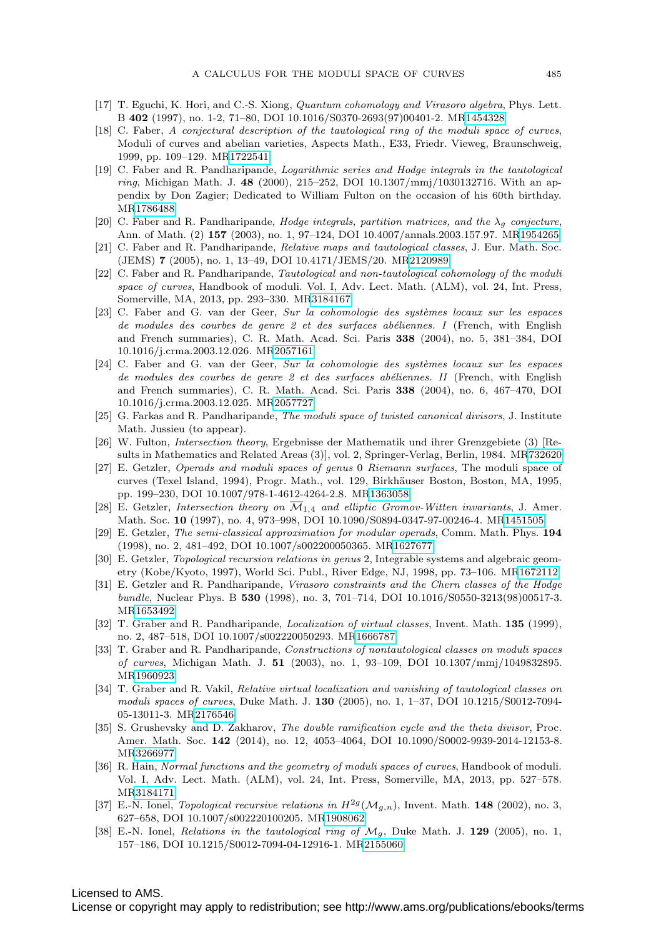- <span id="page-26-18"></span>[17] T. Eguchi, K. Hori, and C.-S. Xiong, Quantum cohomology and Virasoro algebra, Phys. Lett. B **402** (1997), no. 1-2, 71–80, DOI 10.1016/S0370-2693(97)00401-2. M[R1454328](http://www.ams.org/mathscinet-getitem?mr=1454328)
- <span id="page-26-0"></span>[18] C. Faber, A conjectural description of the tautological ring of the moduli space of curves, Moduli of curves and abelian varieties, Aspects Math., E33, Friedr. Vieweg, Braunschweig, 1999, pp. 109–129. M[R1722541](http://www.ams.org/mathscinet-getitem?mr=1722541)
- <span id="page-26-4"></span>[19] C. Faber and R. Pandharipande, Logarithmic series and Hodge integrals in the tautological ring, Michigan Math. J. **48** (2000), 215–252, DOI 10.1307/mmj/1030132716. With an appendix by Don Zagier; Dedicated to William Fulton on the occasion of his 60th birthday. M[R1786488](http://www.ams.org/mathscinet-getitem?mr=1786488)
- <span id="page-26-8"></span>[20] C. Faber and R. Pandharipande, *Hodge integrals, partition matrices, and the*  $\lambda_g$  conjecture, Ann. of Math. (2) **157** (2003), no. 1, 97–124, DOI 10.4007/annals.2003.157.97. M[R1954265](http://www.ams.org/mathscinet-getitem?mr=1954265)
- <span id="page-26-6"></span>[21] C. Faber and R. Pandharipande, Relative maps and tautological classes, J. Eur. Math. Soc. (JEMS) **7** (2005), no. 1, 13–49, DOI 10.4171/JEMS/20. M[R2120989](http://www.ams.org/mathscinet-getitem?mr=2120989)
- <span id="page-26-10"></span>[22] C. Faber and R. Pandharipande, Tautological and non-tautological cohomology of the moduli space of curves, Handbook of moduli. Vol. I, Adv. Lect. Math. (ALM), vol. 24, Int. Press, Somerville, MA, 2013, pp. 293–330. M[R3184167](http://www.ams.org/mathscinet-getitem?mr=3184167)
- <span id="page-26-14"></span>[23] C. Faber and G. van der Geer, Sur la cohomologie des systèmes locaux sur les espaces de modules des courbes de genre 2 et des surfaces abéliennes. I (French, with English and French summaries), C. R. Math. Acad. Sci. Paris **338** (2004), no. 5, 381–384, DOI 10.1016/j.crma.2003.12.026. M[R2057161](http://www.ams.org/mathscinet-getitem?mr=2057161)
- <span id="page-26-15"></span>[24] C. Faber and G. van der Geer, Sur la cohomologie des systèmes locaux sur les espaces de modules des courbes de genre 2 et des surfaces abéliennes. II (French, with English and French summaries), C. R. Math. Acad. Sci. Paris **338** (2004), no. 6, 467–470, DOI 10.1016/j.crma.2003.12.025. M[R2057727](http://www.ams.org/mathscinet-getitem?mr=2057727)
- <span id="page-26-21"></span>[25] G. Farkas and R. Pandharipande, The moduli space of twisted canonical divisors, J. Institute Math. Jussieu (to appear).
- <span id="page-26-1"></span>[26] W. Fulton, Intersection theory, Ergebnisse der Mathematik und ihrer Grenzgebiete (3) [Results in Mathematics and Related Areas (3)], vol. 2, Springer-Verlag, Berlin, 1984. M[R732620](http://www.ams.org/mathscinet-getitem?mr=732620)
- <span id="page-26-16"></span>[27] E. Getzler, Operads and moduli spaces of genus 0 Riemann surfaces, The moduli space of curves (Texel Island, 1994), Progr. Math., vol. 129, Birkhäuser Boston, Boston, MA, 1995, pp. 199–230, DOI 10.1007/978-1-4612-4264-2 8. M[R1363058](http://www.ams.org/mathscinet-getitem?mr=1363058)
- <span id="page-26-11"></span>[28] E. Getzler, Intersection theory on  $\overline{\mathcal{M}}_{1,4}$  and elliptic Gromov-Witten invariants, J. Amer. Math. Soc. **10** (1997), no. 4, 973–998, DOI 10.1090/S0894-0347-97-00246-4. M[R1451505](http://www.ams.org/mathscinet-getitem?mr=1451505)
- <span id="page-26-17"></span>[29] E. Getzler, The semi-classical approximation for modular operads, Comm. Math. Phys. **194** (1998), no. 2, 481–492, DOI 10.1007/s002200050365. M[R1627677](http://www.ams.org/mathscinet-getitem?mr=1627677)
- <span id="page-26-12"></span>[30] E. Getzler, Topological recursion relations in genus 2, Integrable systems and algebraic geometry (Kobe/Kyoto, 1997), World Sci. Publ., River Edge, NJ, 1998, pp. 73–106. M[R1672112](http://www.ams.org/mathscinet-getitem?mr=1672112)
- <span id="page-26-5"></span>[31] E. Getzler and R. Pandharipande, Virasoro constraints and the Chern classes of the Hodge bundle, Nuclear Phys. B **530** (1998), no. 3, 701–714, DOI 10.1016/S0550-3213(98)00517-3. M[R1653492](http://www.ams.org/mathscinet-getitem?mr=1653492)
- <span id="page-26-2"></span>[32] T. Graber and R. Pandharipande, Localization of virtual classes, Invent. Math. **135** (1999), no. 2, 487–518, DOI 10.1007/s002220050293. M[R1666787](http://www.ams.org/mathscinet-getitem?mr=1666787)
- <span id="page-26-9"></span>[33] T. Graber and R. Pandharipande, Constructions of nontautological classes on moduli spaces of curves, Michigan Math. J. **51** (2003), no. 1, 93–109, DOI 10.1307/mmj/1049832895. M[R1960923](http://www.ams.org/mathscinet-getitem?mr=1960923)
- <span id="page-26-7"></span>[34] T. Graber and R. Vakil, Relative virtual localization and vanishing of tautological classes on moduli spaces of curves, Duke Math. J. **130** (2005), no. 1, 1–37, DOI 10.1215/S0012-7094- 05-13011-3. M[R2176546](http://www.ams.org/mathscinet-getitem?mr=2176546)
- <span id="page-26-19"></span>[35] S. Grushevsky and D. Zakharov, The double ramification cycle and the theta divisor, Proc. Amer. Math. Soc. **142** (2014), no. 12, 4053–4064, DOI 10.1090/S0002-9939-2014-12153-8. M[R3266977](http://www.ams.org/mathscinet-getitem?mr=3266977)
- <span id="page-26-20"></span>[36] R. Hain, Normal functions and the geometry of moduli spaces of curves, Handbook of moduli. Vol. I, Adv. Lect. Math. (ALM), vol. 24, Int. Press, Somerville, MA, 2013, pp. 527–578. M[R3184171](http://www.ams.org/mathscinet-getitem?mr=3184171)
- <span id="page-26-13"></span>[37] E.-N. Ionel, *Topological recursive relations in*  $H^{2g}(\mathcal{M}_{g,n})$ , Invent. Math. **148** (2002), no. 3, 627–658, DOI 10.1007/s002220100205. M[R1908062](http://www.ams.org/mathscinet-getitem?mr=1908062)
- <span id="page-26-3"></span>[38] E.-N. Ionel, Relations in the tautological ring of Mg, Duke Math. J. **129** (2005), no. 1, 157–186, DOI 10.1215/S0012-7094-04-12916-1. M[R2155060](http://www.ams.org/mathscinet-getitem?mr=2155060)

## Licensed to AMS.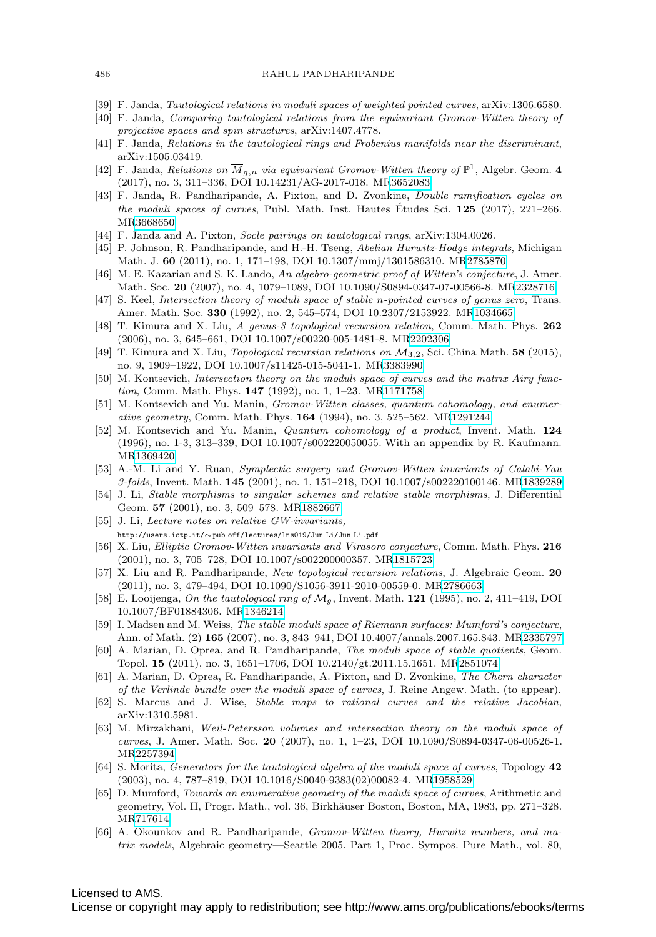- <span id="page-27-11"></span>[39] F. Janda, Tautological relations in moduli spaces of weighted pointed curves, arXiv:1306.6580.
- <span id="page-27-3"></span>[40] F. Janda, Comparing tautological relations from the equivariant Gromov-Witten theory of projective spaces and spin structures, arXiv:1407.4778.
- <span id="page-27-12"></span>[41] F. Janda, Relations in the tautological rings and Frobenius manifolds near the discriminant, arXiv:1505.03419.
- <span id="page-27-4"></span>[42] F. Janda, Relations on  $\overline{M}_{g,n}$  via equivariant Gromov-Witten theory of  $\mathbb{P}^1$ , Algebr. Geom. 4 (2017), no. 3, 311–336, DOI 10.14231/AG-2017-018. M[R3652083](http://www.ams.org/mathscinet-getitem?mr=3652083)
- <span id="page-27-21"></span>[43] F. Janda, R. Pandharipande, A. Pixton, and D. Zvonkine, Double ramification cycles on the moduli spaces of curves, Publ. Math. Inst. Hautes Études Sci. 125 (2017), 221–266. M[R3668650](http://www.ams.org/mathscinet-getitem?mr=3668650)
- <span id="page-27-17"></span>[44] F. Janda and A. Pixton, Socle pairings on tautological rings, arXiv:1304.0026.
- <span id="page-27-25"></span>[45] P. Johnson, R. Pandharipande, and H.-H. Tseng, Abelian Hurwitz-Hodge integrals, Michigan Math. J. **60** (2011), no. 1, 171–198, DOI 10.1307/mmj/1301586310. M[R2785870](http://www.ams.org/mathscinet-getitem?mr=2785870)
- <span id="page-27-8"></span>[46] M. E. Kazarian and S. K. Lando, An algebro-geometric proof of Witten's conjecture, J. Amer. Math. Soc. **20** (2007), no. 4, 1079–1089, DOI 10.1090/S0894-0347-07-00566-8. M[R2328716](http://www.ams.org/mathscinet-getitem?mr=2328716)
- <span id="page-27-13"></span>[47] S. Keel, Intersection theory of moduli space of stable n-pointed curves of genus zero, Trans. Amer. Math. Soc. **330** (1992), no. 2, 545–574, DOI 10.2307/2153922. M[R1034665](http://www.ams.org/mathscinet-getitem?mr=1034665)
- <span id="page-27-15"></span>[48] T. Kimura and X. Liu, A genus-3 topological recursion relation, Comm. Math. Phys. **262** (2006), no. 3, 645–661, DOI 10.1007/s00220-005-1481-8. M[R2202306](http://www.ams.org/mathscinet-getitem?mr=2202306)
- <span id="page-27-16"></span>[49] T. Kimura and X. Liu, *Topological recursion relations on*  $\overline{\mathcal{M}}_{3,2}$ , Sci. China Math. **58** (2015), no. 9, 1909–1922, DOI 10.1007/s11425-015-5041-1. M[R3383990](http://www.ams.org/mathscinet-getitem?mr=3383990)
- <span id="page-27-7"></span>[50] M. Kontsevich, Intersection theory on the moduli space of curves and the matrix Airy function, Comm. Math. Phys. **147** (1992), no. 1, 1–23. M[R1171758](http://www.ams.org/mathscinet-getitem?mr=1171758)
- <span id="page-27-18"></span>[51] M. Kontsevich and Yu. Manin, Gromov-Witten classes, quantum cohomology, and enumerative geometry, Comm. Math. Phys. **164** (1994), no. 3, 525–562. M[R1291244](http://www.ams.org/mathscinet-getitem?mr=1291244)
- <span id="page-27-14"></span>[52] M. Kontsevich and Yu. Manin, Quantum cohomology of a product, Invent. Math. **124** (1996), no. 1-3, 313–339, DOI 10.1007/s002220050055. With an appendix by R. Kaufmann. M[R1369420](http://www.ams.org/mathscinet-getitem?mr=1369420)
- <span id="page-27-22"></span>[53] A.-M. Li and Y. Ruan, Symplectic surgery and Gromov-Witten invariants of Calabi-Yau 3-folds, Invent. Math. **145** (2001), no. 1, 151–218, DOI 10.1007/s002220100146. M[R1839289](http://www.ams.org/mathscinet-getitem?mr=1839289)
- [54] J. Li, Stable morphisms to singular schemes and relative stable morphisms, J. Differential Geom. **57** (2001), no. 3, 509–578. M[R1882667](http://www.ams.org/mathscinet-getitem?mr=1882667)
- <span id="page-27-23"></span>[55] J. Li, Lecture notes on relative GW-invariants, http://users.ictp.it/∼pub off/lectures/lns019/Jun Li/Jun Li.pdf
- <span id="page-27-19"></span>[56] X. Liu, Elliptic Gromov-Witten invariants and Virasoro conjecture, Comm. Math. Phys. **216** (2001), no. 3, 705–728, DOI 10.1007/s002200000357. M[R1815723](http://www.ams.org/mathscinet-getitem?mr=1815723)
- <span id="page-27-20"></span>[57] X. Liu and R. Pandharipande, New topological recursion relations, J. Algebraic Geom. **20** (2011), no. 3, 479–494, DOI 10.1090/S1056-3911-2010-00559-0. M[R2786663](http://www.ams.org/mathscinet-getitem?mr=2786663)
- <span id="page-27-6"></span>[58] E. Looijenga, On the tautological ring of Mg, Invent. Math. **121** (1995), no. 2, 411–419, DOI 10.1007/BF01884306. M[R1346214](http://www.ams.org/mathscinet-getitem?mr=1346214)
- <span id="page-27-1"></span>[59] I. Madsen and M. Weiss, The stable moduli space of Riemann surfaces: Mumford's conjecture, Ann. of Math. (2) **165** (2007), no. 3, 843–941, DOI 10.4007/annals.2007.165.843. M[R2335797](http://www.ams.org/mathscinet-getitem?mr=2335797)
- <span id="page-27-2"></span>[60] A. Marian, D. Oprea, and R. Pandharipande, The moduli space of stable quotients, Geom. Topol. **15** (2011), no. 3, 1651–1706, DOI 10.2140/gt.2011.15.1651. M[R2851074](http://www.ams.org/mathscinet-getitem?mr=2851074)
- <span id="page-27-26"></span>[61] A. Marian, D. Oprea, R. Pandharipande, A. Pixton, and D. Zvonkine, The Chern character of the Verlinde bundle over the moduli space of curves, J. Reine Angew. Math. (to appear).
- <span id="page-27-24"></span>[62] S. Marcus and J. Wise, Stable maps to rational curves and the relative Jacobian, arXiv:1310.5981.
- <span id="page-27-9"></span>[63] M. Mirzakhani, Weil-Petersson volumes and intersection theory on the moduli space of curves, J. Amer. Math. Soc. **20** (2007), no. 1, 1–23, DOI 10.1090/S0894-0347-06-00526-1. M[R2257394](http://www.ams.org/mathscinet-getitem?mr=2257394)
- <span id="page-27-5"></span>[64] S. Morita, Generators for the tautological algebra of the moduli space of curves, Topology **42** (2003), no. 4, 787–819, DOI 10.1016/S0040-9383(02)00082-4. M[R1958529](http://www.ams.org/mathscinet-getitem?mr=1958529)
- <span id="page-27-0"></span>[65] D. Mumford, Towards an enumerative geometry of the moduli space of curves, Arithmetic and geometry, Vol. II, Progr. Math., vol. 36, Birkhäuser Boston, Boston, MA, 1983, pp. 271–328. M[R717614](http://www.ams.org/mathscinet-getitem?mr=717614)
- <span id="page-27-10"></span>[66] A. Okounkov and R. Pandharipande, Gromov-Witten theory, Hurwitz numbers, and matrix models, Algebraic geometry—Seattle 2005. Part 1, Proc. Sympos. Pure Math., vol. 80,

## Licensed to AMS.